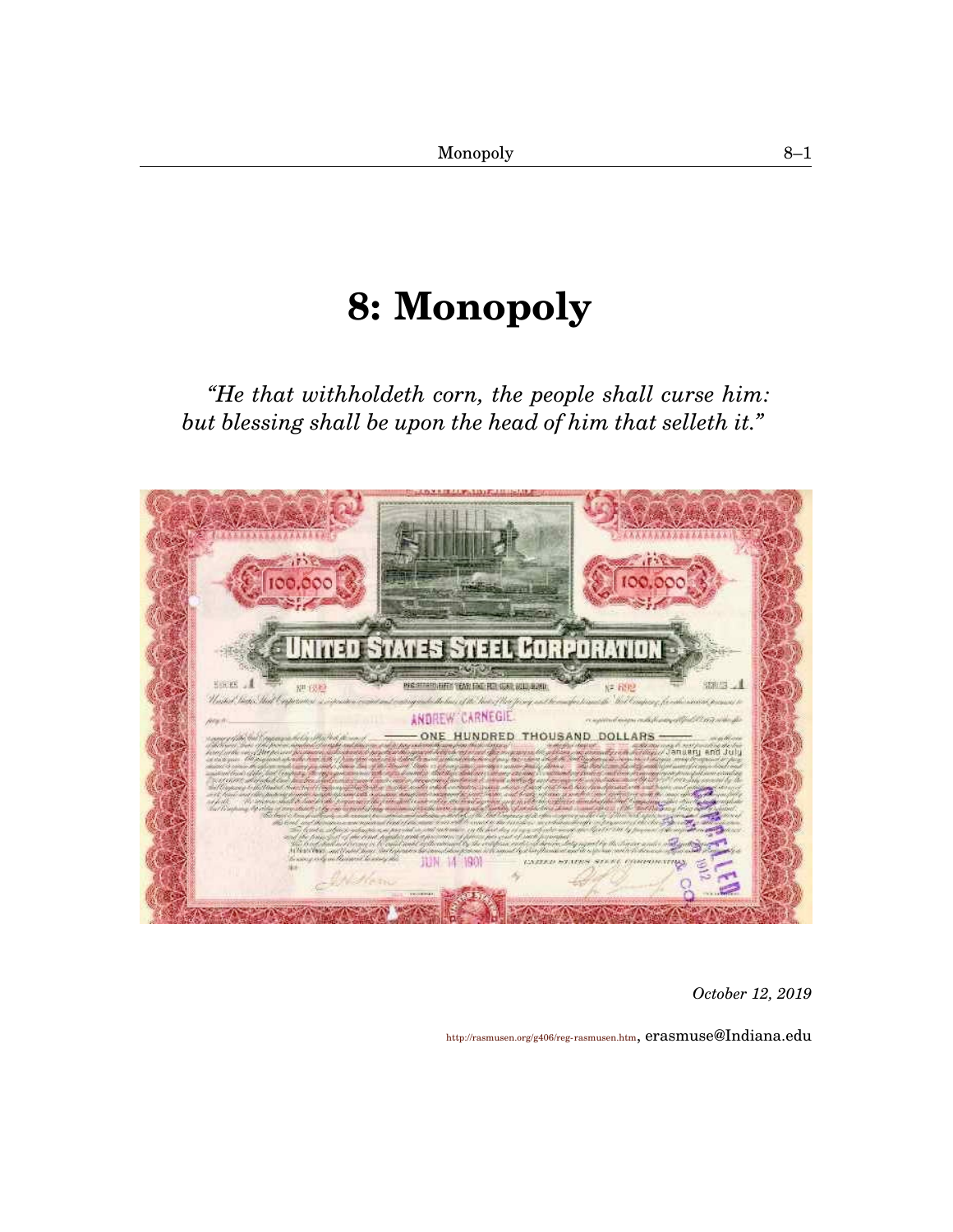# **[8:](#page-0-0) Monopoly**

<span id="page-0-1"></span><span id="page-0-0"></span>*"He that withholdeth corn, the people shall curse him: but blessing shall be upon the head of him that selleth it."*



*October 12, 2019*

<http://rasmusen.org/g406/reg-rasmusen.htm>, erasmuse@Indiana.edu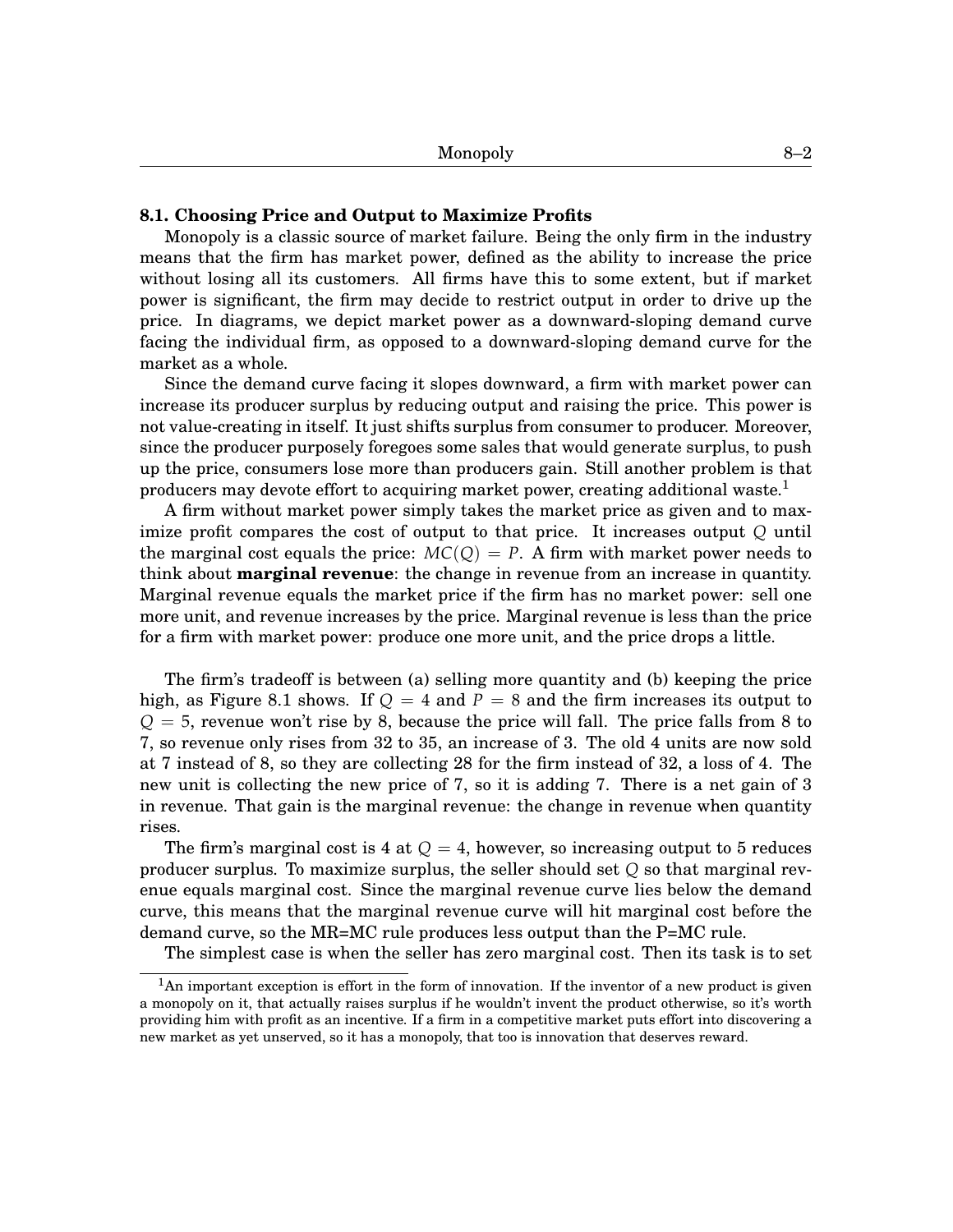## **[8.](#page-0-0)1. Choosing Price and Output to Maximize Profits**

Monopoly is a classic source of market failure. Being the only firm in the industry means that the firm has market power, defined as the ability to increase the price without losing all its customers. All firms have this to some extent, but if market power is significant, the firm may decide to restrict output in order to drive up the price. In diagrams, we depict market power as a downward-sloping demand curve facing the individual firm, as opposed to a downward-sloping demand curve for the market as a whole.

Since the demand curve facing it slopes downward, a firm with market power can increase its producer surplus by reducing output and raising the price. This power is not value-creating in itself. It just shifts surplus from consumer to producer. Moreover, since the producer purposely foregoes some sales that would generate surplus, to push up the price, consumers lose more than producers gain. Still another problem is that producers may devote effort to acquiring market power, creating additional waste.<sup>[1](#page-0-1)</sup>

A firm without market power simply takes the market price as given and to maximize profit compares the cost of output to that price. It increases output *Q* until the marginal cost equals the price:  $MC(O) = P$ . A firm with market power needs to think about **marginal revenue**: the change in revenue from an increase in quantity. Marginal revenue equals the market price if the firm has no market power: sell one more unit, and revenue increases by the price. Marginal revenue is less than the price for a firm with market power: produce one more unit, and the price drops a little.

The firm's tradeoff is between (a) selling more quantity and (b) keeping the price high, as Figure [8](#page-0-0)[.1](#page-2-0) shows. If  $Q = 4$  and  $P = 8$  and the firm increases its output to  $Q = 5$ , revenue won't rise by 8, because the price will fall. The price falls from 8 to 7, so revenue only rises from 32 to 35, an increase of 3. The old 4 units are now sold at 7 instead of 8, so they are collecting 28 for the firm instead of 32, a loss of 4. The new unit is collecting the new price of 7, so it is adding 7. There is a net gain of 3 in revenue. That gain is the marginal revenue: the change in revenue when quantity rises.

The firm's marginal cost is 4 at  $Q = 4$ , however, so increasing output to 5 reduces producer surplus. To maximize surplus, the seller should set *Q* so that marginal revenue equals marginal cost. Since the marginal revenue curve lies below the demand curve, this means that the marginal revenue curve will hit marginal cost before the demand curve, so the MR=MC rule produces less output than the P=MC rule.

The simplest case is when the seller has zero marginal cost. Then its task is to set

 $1$ An important exception is effort in the form of innovation. If the inventor of a new product is given a monopoly on it, that actually raises surplus if he wouldn't invent the product otherwise, so it's worth providing him with profit as an incentive. If a firm in a competitive market puts effort into discovering a new market as yet unserved, so it has a monopoly, that too is innovation that deserves reward.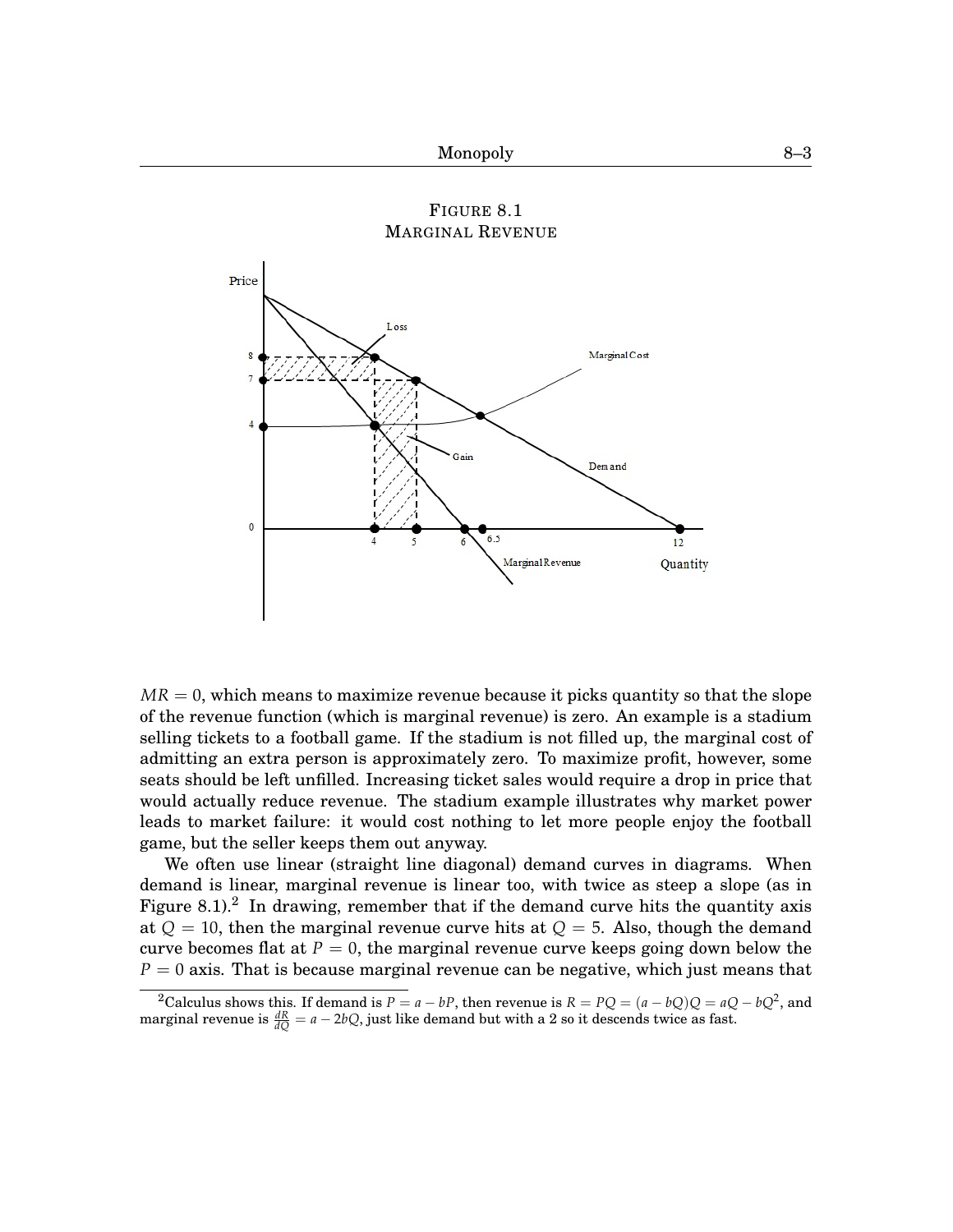<span id="page-2-0"></span>

 $MR = 0$ , which means to maximize revenue because it picks quantity so that the slope of the revenue function (which is marginal revenue) is zero. An example is a stadium selling tickets to a football game. If the stadium is not filled up, the marginal cost of admitting an extra person is approximately zero. To maximize profit, however, some seats should be left unfilled. Increasing ticket sales would require a drop in price that would actually reduce revenue. The stadium example illustrates why market power leads to market failure: it would cost nothing to let more people enjoy the football game, but the seller keeps them out anyway.

We often use linear (straight line diagonal) demand curves in diagrams. When demand is linear, marginal revenue is linear too, with twice as steep a slope (as in Figure [8.](#page-0-0)1).<sup>[2](#page-0-1)</sup> In drawing, remember that if the demand curve hits the quantity axis at  $Q = 10$ , then the marginal revenue curve hits at  $Q = 5$ . Also, though the demand curve becomes flat at  $P = 0$ , the marginal revenue curve keeps going down below the *P* = 0 axis. That is because marginal revenue can be negative, which just means that

<sup>&</sup>lt;sup>2</sup>Calculus shows this. If demand is  $P = a - bP$ , then revenue is  $R = PQ = (a - bQ)Q = aQ - bQ^2$ , and marginal revenue is  $\frac{dR}{dQ} = a - 2bQ$ , just like demand but with a 2 so it descends twice as fast.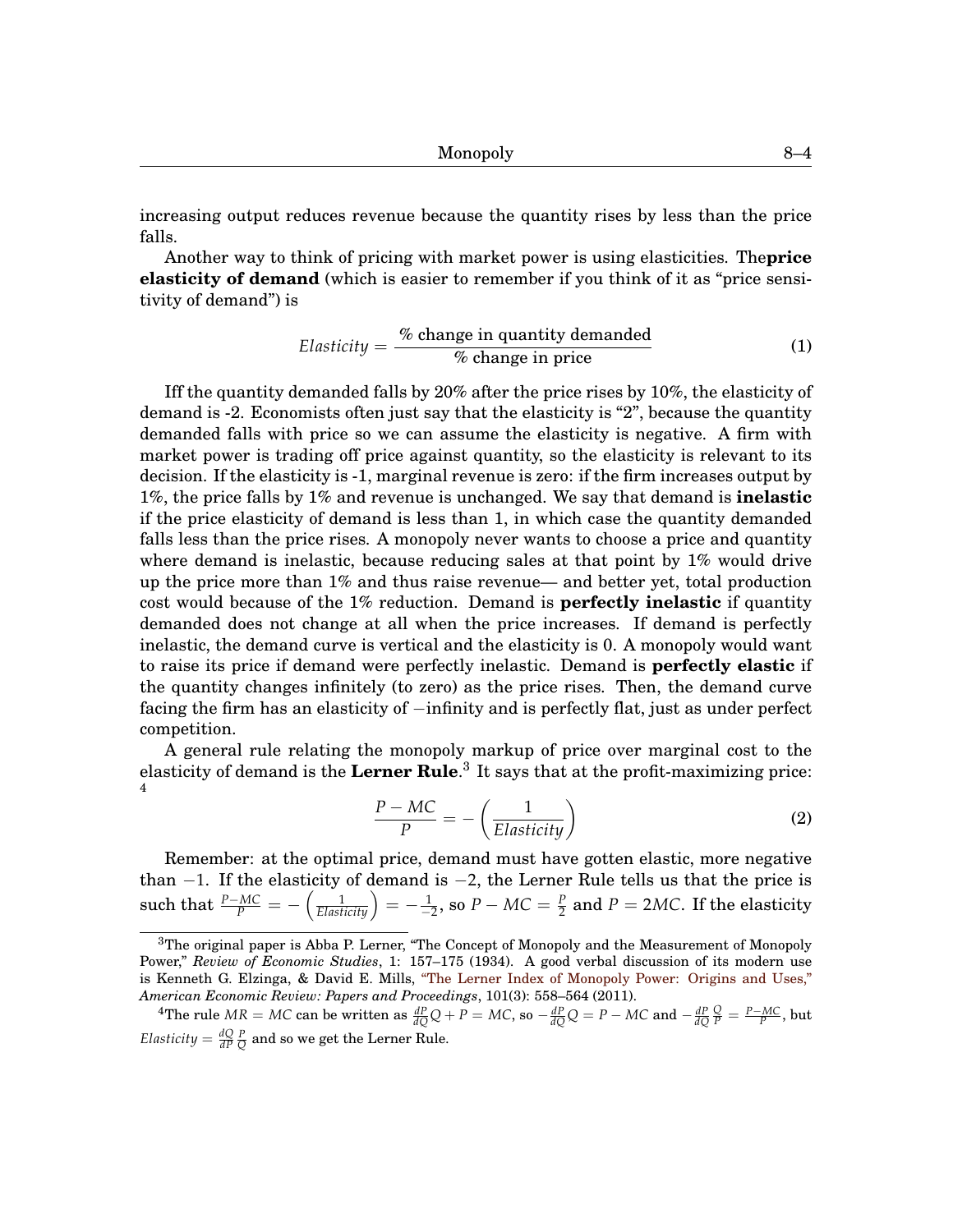Monopoly [8–](#page-0-0)4

increasing output reduces revenue because the quantity rises by less than the price falls.

Another way to think of pricing with market power is using elasticities. The**price elasticity of demand** (which is easier to remember if you think of it as "price sensitivity of demand") is

$$
Elasticity = \frac{\% \text{ change in quantity demanded}}{\% \text{ change in price}} \tag{1}
$$

Iff the quantity demanded falls by 20% after the price rises by 10%, the elasticity of demand is -2. Economists often just say that the elasticity is "2", because the quantity demanded falls with price so we can assume the elasticity is negative. A firm with market power is trading off price against quantity, so the elasticity is relevant to its decision. If the elasticity is -1, marginal revenue is zero: if the firm increases output by 1%, the price falls by 1% and revenue is unchanged. We say that demand is **inelastic** if the price elasticity of demand is less than 1, in which case the quantity demanded falls less than the price rises. A monopoly never wants to choose a price and quantity where demand is inelastic, because reducing sales at that point by 1% would drive up the price more than 1% and thus raise revenue— and better yet, total production cost would because of the 1% reduction. Demand is **perfectly inelastic** if quantity demanded does not change at all when the price increases. If demand is perfectly inelastic, the demand curve is vertical and the elasticity is 0. A monopoly would want to raise its price if demand were perfectly inelastic. Demand is **perfectly elastic** if the quantity changes infinitely (to zero) as the price rises. Then, the demand curve facing the firm has an elasticity of −infinity and is perfectly flat, just as under perfect competition.

A general rule relating the monopoly markup of price over marginal cost to the elasticity of demand is the **Lerner Rule**. [3](#page-0-1) It says that at the profit-maximizing price: [4](#page-0-1)

<span id="page-3-0"></span>
$$
\frac{P - MC}{P} = -\left(\frac{1}{Elasticity}\right)
$$
 (2)

Remember: at the optimal price, demand must have gotten elastic, more negative than −1. If the elasticity of demand is −2, the Lerner Rule tells us that the price is  $\text{such that } \frac{P-MC}{P}=-\left(\frac{1}{Elasticity}\right)=-\frac{1}{-2}\text{, so }P-MC=\frac{P}{2} \text{ and }P=2MC. \text{ If the elasticity.}$ 

 ${}^{3}$ The original paper is Abba P. Lerner, "The Concept of Monopoly and the Measurement of Monopoly Power," *Review of Economic Studies*, 1: 157–175 (1934). A good verbal discussion of its modern use is Kenneth G. Elzinga, & David E. Mills, ["The Lerner Index of Monopoly Power: Origins and Uses,"](http://papers.ssrn.com/sol3/papers.cfm?abstract_id=1884993) *[A](http://papers.ssrn.com/sol3/papers.cfm?abstract_id=1884993)merican Economic Review: Papers and Proceedings*, 101(3): 558–564 (2011).

<sup>&</sup>lt;sup>4</sup>The rule  $MR = MC$  can be written as  $\frac{dP}{dQ}Q + P = MC$ , so  $-\frac{dP}{dQ}Q = P - MC$  and  $-\frac{dP}{dQ}\frac{Q}{P} = \frac{P - MC}{P}$ , but *Elasticity*  $=$   $\frac{dQ}{dP}$   $\frac{P}{Q}$  and so we get the Lerner Rule.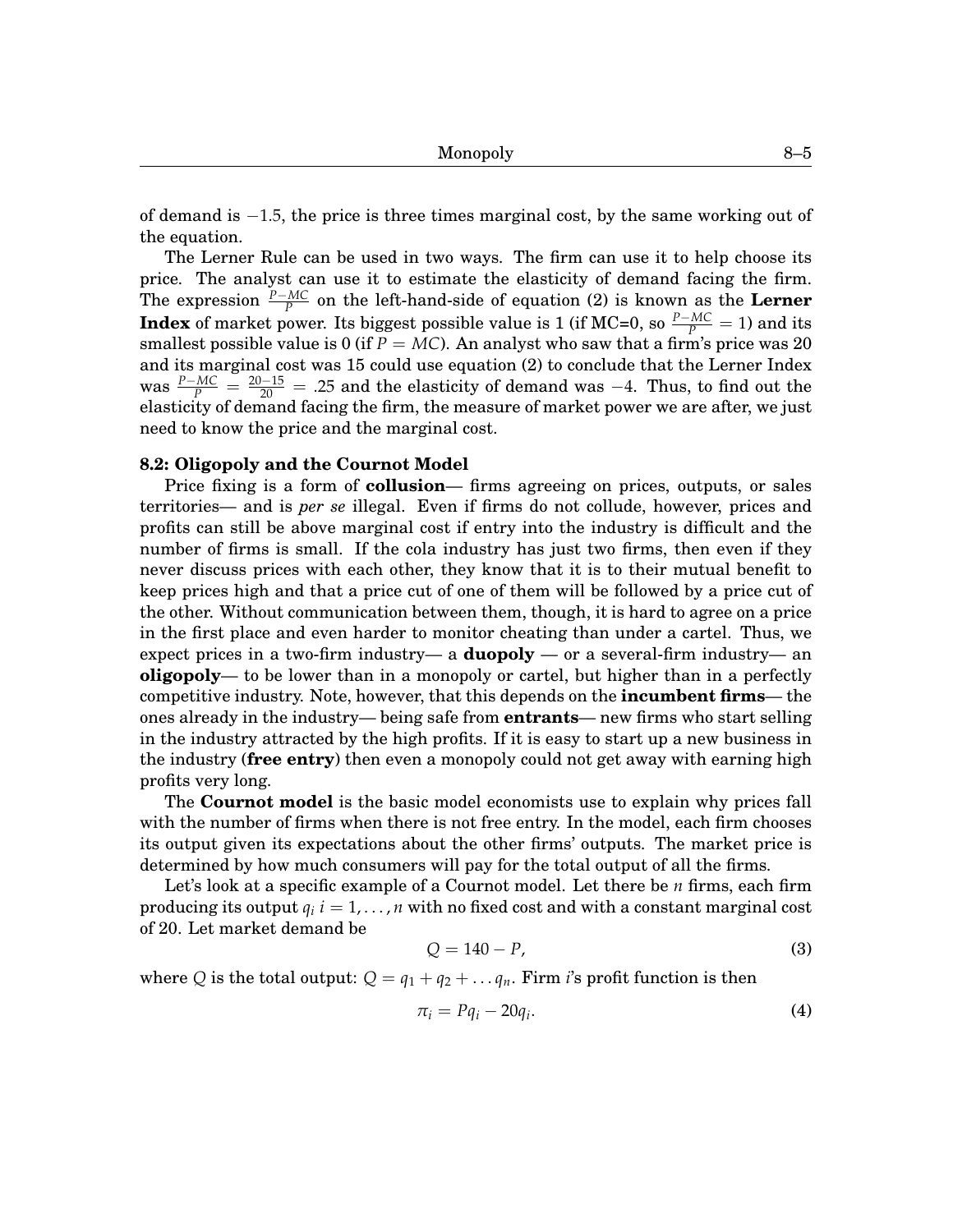of demand is −1.5, the price is three times marginal cost, by the same working out of the equation.

The Lerner Rule can be used in two ways. The firm can use it to help choose its price. The analyst can use it to estimate the elasticity of demand facing the firm. The expression  $\frac{P-MC}{P}$  on the left-hand-side of equation [\(2\)](#page-3-0) is known as the **Lerner Index** of market power. Its biggest possible value is 1 (if MC=0, so  $\frac{P-MC}{P} = 1$ ) and its smallest possible value is 0 (if  $P = MC$ ). An analyst who saw that a firm's price was 20 and its marginal cost was 15 could use equation [\(2\)](#page-3-0) to conclude that the Lerner Index was  $\frac{P-MC}{P} = \frac{20-15}{20}$  = .25 and the elasticity of demand was −4. Thus, to find out the elasticity of demand facing the firm, the measure of market power we are after, we just need to know the price and the marginal cost.

## **[8.](#page-0-0)2: Oligopoly and the Cournot Model**

Price fixing is a form of **collusion**— firms agreeing on prices, outputs, or sales territories— and is *per se* illegal. Even if firms do not collude, however, prices and profits can still be above marginal cost if entry into the industry is difficult and the number of firms is small. If the cola industry has just two firms, then even if they never discuss prices with each other, they know that it is to their mutual benefit to keep prices high and that a price cut of one of them will be followed by a price cut of the other. Without communication between them, though, it is hard to agree on a price in the first place and even harder to monitor cheating than under a cartel. Thus, we expect prices in a two-firm industry— a **duopoly** — or a several-firm industry— an **oligopoly**— to be lower than in a monopoly or cartel, but higher than in a perfectly competitive industry. Note, however, that this depends on the **incumbent firms**— the ones already in the industry— being safe from **entrants**— new firms who start selling in the industry attracted by the high profits. If it is easy to start up a new business in the industry (**free entry**) then even a monopoly could not get away with earning high profits very long.

The **Cournot model** is the basic model economists use to explain why prices fall with the number of firms when there is not free entry. In the model, each firm chooses its output given its expectations about the other firms' outputs. The market price is determined by how much consumers will pay for the total output of all the firms.

Let's look at a specific example of a Cournot model. Let there be *n* firms, each firm producing its output  $q_i$   $i=1,\ldots,n$  with no fixed cost and with a constant marginal cost of 20. Let market demand be

$$
Q = 140 - P,\t\t(3)
$$

where *Q* is the total output:  $Q = q_1 + q_2 + \ldots + q_n$ . Firm *i*'s profit function is then

$$
\pi_i = Pq_i - 20q_i. \tag{4}
$$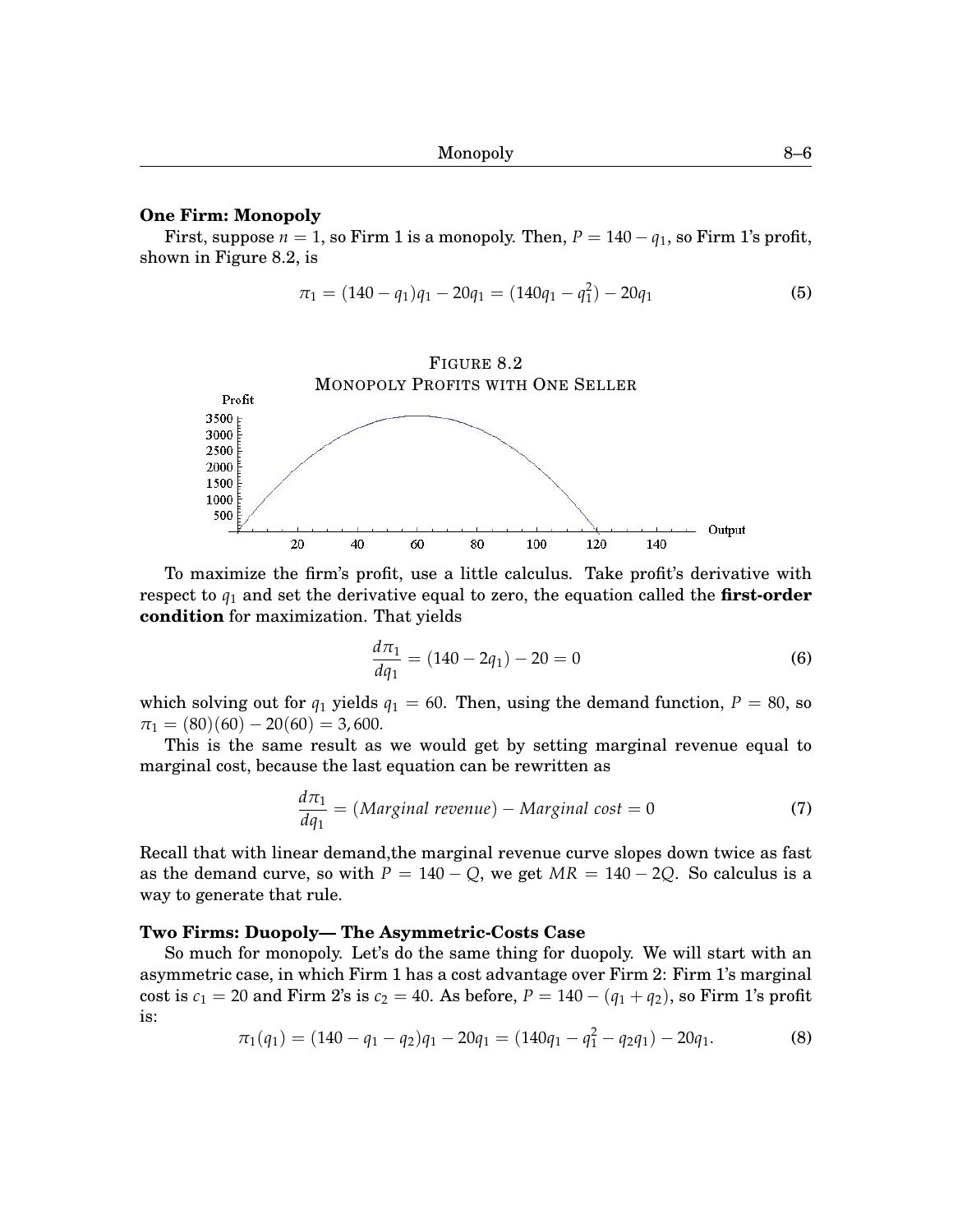## **One Firm: Monopoly**

First, suppose  $n = 1$ , so Firm 1 is a monopoly. Then,  $P = 140 - q_1$ , so Firm 1's profit, shown in Figure [8.](#page-0-0)[2,](#page-5-0) is

$$
\pi_1 = (140 - q_1)q_1 - 20q_1 = (140q_1 - q_1^2) - 20q_1 \tag{5}
$$

## FIGURE [8](#page-0-0)[.2](#page-5-0)

<span id="page-5-0"></span>

To maximize the firm's profit, use a little calculus. Take profit's derivative with respect to *q*<sup>1</sup> and set the derivative equal to zero, the equation called the **first-order condition** for maximization. That yields

$$
\frac{d\pi_1}{dq_1} = (140 - 2q_1) - 20 = 0\tag{6}
$$

which solving out for  $q_1$  yields  $q_1 = 60$ . Then, using the demand function,  $P = 80$ , so  $\pi_1 = (80)(60) - 20(60) = 3,600.$ 

This is the same result as we would get by setting marginal revenue equal to marginal cost, because the last equation can be rewritten as

$$
\frac{d\pi_1}{dq_1} = (Marginal revenue) - Marginal cost = 0 \tag{7}
$$

Recall that with linear demand,the marginal revenue curve slopes down twice as fast as the demand curve, so with  $P = 140 - Q$ , we get  $MR = 140 - 2Q$ . So calculus is a way to generate that rule.

## **Two Firms: Duopoly— The Asymmetric-Costs Case**

So much for monopoly. Let's do the same thing for duopoly. We will start with an asymmetric case, in which Firm 1 has a cost advantage over Firm 2: Firm 1's marginal cost is  $c_1 = 20$  and Firm 2's is  $c_2 = 40$ . As before,  $P = 140 - (q_1 + q_2)$ , so Firm 1's profit is:

$$
\pi_1(q_1) = (140 - q_1 - q_2)q_1 - 20q_1 = (140q_1 - q_1^2 - q_2q_1) - 20q_1.
$$
\n(8)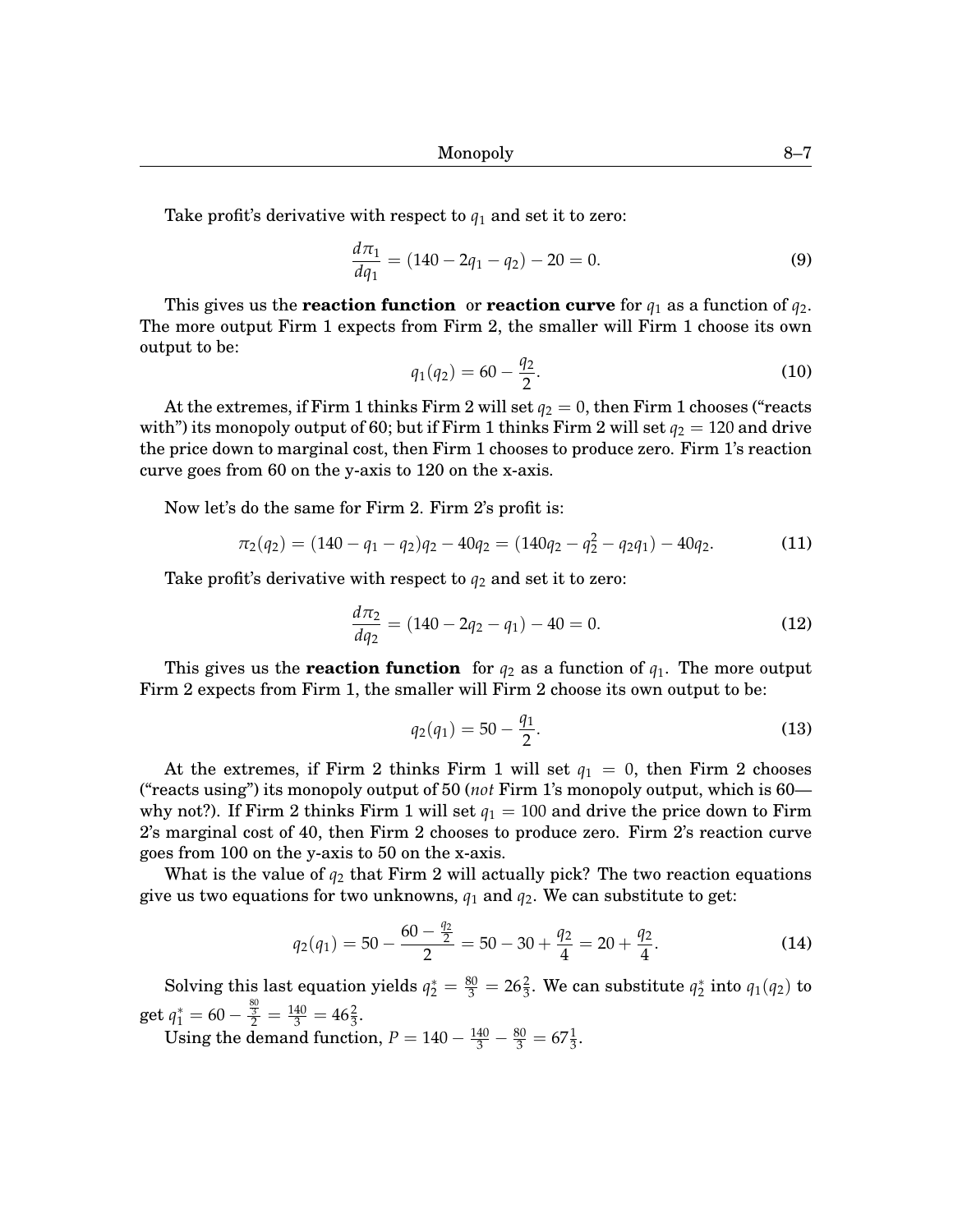Take profit's derivative with respect to *q*<sup>1</sup> and set it to zero:

$$
\frac{d\pi_1}{dq_1} = (140 - 2q_1 - q_2) - 20 = 0.
$$
\n(9)

This gives us the **reaction function** or **reaction curve** for  $q_1$  as a function of  $q_2$ . The more output Firm 1 expects from Firm 2, the smaller will Firm 1 choose its own output to be:

$$
q_1(q_2) = 60 - \frac{q_2}{2}.\tag{10}
$$

At the extremes, if Firm 1 thinks Firm 2 will set  $q_2 = 0$ , then Firm 1 chooses ("reacts") with") its monopoly output of 60; but if Firm 1 thinks Firm 2 will set  $q_2 = 120$  and drive the price down to marginal cost, then Firm 1 chooses to produce zero. Firm 1's reaction curve goes from 60 on the y-axis to 120 on the x-axis.

Now let's do the same for Firm 2. Firm 2's profit is:

$$
\pi_2(q_2) = (140 - q_1 - q_2)q_2 - 40q_2 = (140q_2 - q_2^2 - q_2q_1) - 40q_2.
$$
 (11)

Take profit's derivative with respect to  $q_2$  and set it to zero:

$$
\frac{d\pi_2}{dq_2} = (140 - 2q_2 - q_1) - 40 = 0.
$$
\n(12)

This gives us the **reaction function** for  $q_2$  as a function of  $q_1$ . The more output Firm 2 expects from Firm 1, the smaller will Firm 2 choose its own output to be:

$$
q_2(q_1) = 50 - \frac{q_1}{2}.\tag{13}
$$

At the extremes, if Firm 2 thinks Firm 1 will set  $q_1 = 0$ , then Firm 2 chooses ("reacts using") its monopoly output of 50 (*not* Firm 1's monopoly output, which is 60 why not?). If Firm 2 thinks Firm 1 will set  $q_1 = 100$  and drive the price down to Firm 2's marginal cost of 40, then Firm 2 chooses to produce zero. Firm 2's reaction curve goes from 100 on the y-axis to 50 on the x-axis.

What is the value of *q*<sup>2</sup> that Firm 2 will actually pick? The two reaction equations give us two equations for two unknowns,  $q_1$  and  $q_2$ . We can substitute to get:

$$
q_2(q_1) = 50 - \frac{60 - \frac{q_2}{2}}{2} = 50 - 30 + \frac{q_2}{4} = 20 + \frac{q_2}{4}.
$$
 (14)

Solving this last equation yields  $q_2^* = \frac{80}{3} = 26\frac{2}{3}$ . We can substitute  $q_2^*$  into  $q_1(q_2)$  to get  $q_1^* = 60 - \frac{\frac{80}{3}}{2} = \frac{140}{3} = 46\frac{2}{3}.$ 

Using the demand function,  $P = 140 - \frac{140}{3} - \frac{80}{3} = 67\frac{1}{3}$ .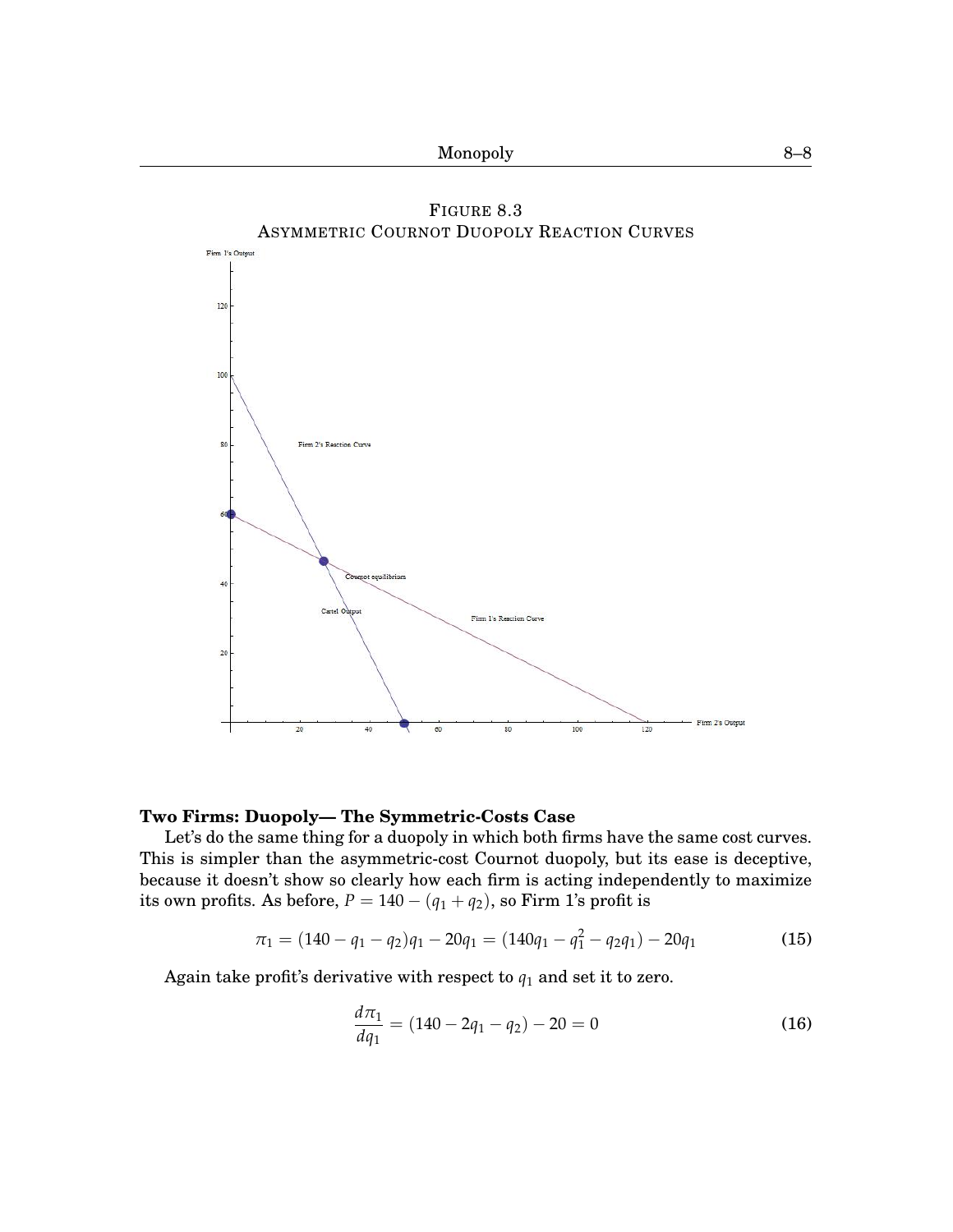<span id="page-7-0"></span>

# **Two Firms: Duopoly— The Symmetric-Costs Case**

Let's do the same thing for a duopoly in which both firms have the same cost curves. This is simpler than the asymmetric-cost Cournot duopoly, but its ease is deceptive, because it doesn't show so clearly how each firm is acting independently to maximize its own profits. As before,  $P = 140 - (q_1 + q_2)$ , so Firm 1's profit is

$$
\pi_1 = (140 - q_1 - q_2)q_1 - 20q_1 = (140q_1 - q_1^2 - q_2q_1) - 20q_1 \tag{15}
$$

Again take profit's derivative with respect to  $q_1$  and set it to zero.

$$
\frac{d\pi_1}{dq_1} = (140 - 2q_1 - q_2) - 20 = 0 \tag{16}
$$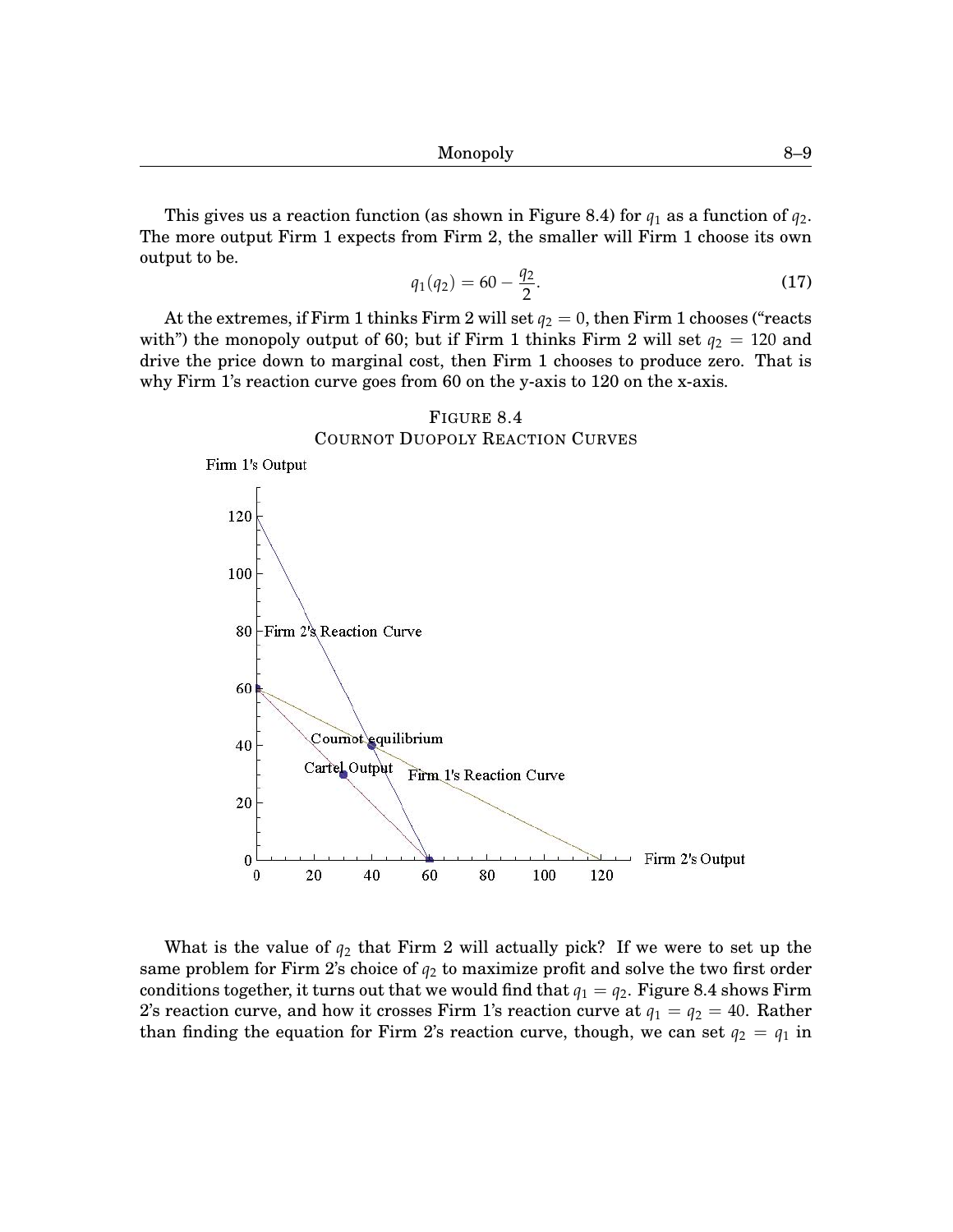This gives us a reaction function (as shown in Figure [8](#page-0-0)[.4\)](#page-8-0) for  $q_1$  as a function of  $q_2$ . The more output Firm 1 expects from Firm 2, the smaller will Firm 1 choose its own output to be.

$$
q_1(q_2) = 60 - \frac{q_2}{2}.\tag{17}
$$

At the extremes, if Firm 1 thinks Firm 2 will set  $q_2 = 0$ , then Firm 1 chooses ("reacts") with") the monopoly output of 60; but if Firm 1 thinks Firm 2 will set  $q_2 = 120$  and drive the price down to marginal cost, then Firm 1 chooses to produce zero. That is why Firm 1's reaction curve goes from 60 on the y-axis to 120 on the x-axis.

<span id="page-8-0"></span>

What is the value of  $q_2$  that Firm 2 will actually pick? If we were to set up the same problem for Firm 2's choice of  $q_2$  to maximize profit and solve the two first order conditions together, it turns out that we would find that  $q_1 = q_2$ . Figure [8.](#page-0-0)[4](#page-8-0) shows Firm 2's reaction curve, and how it crosses Firm 1's reaction curve at  $q_1 = q_2 = 40$ . Rather than finding the equation for Firm 2's reaction curve, though, we can set  $q_2 = q_1$  in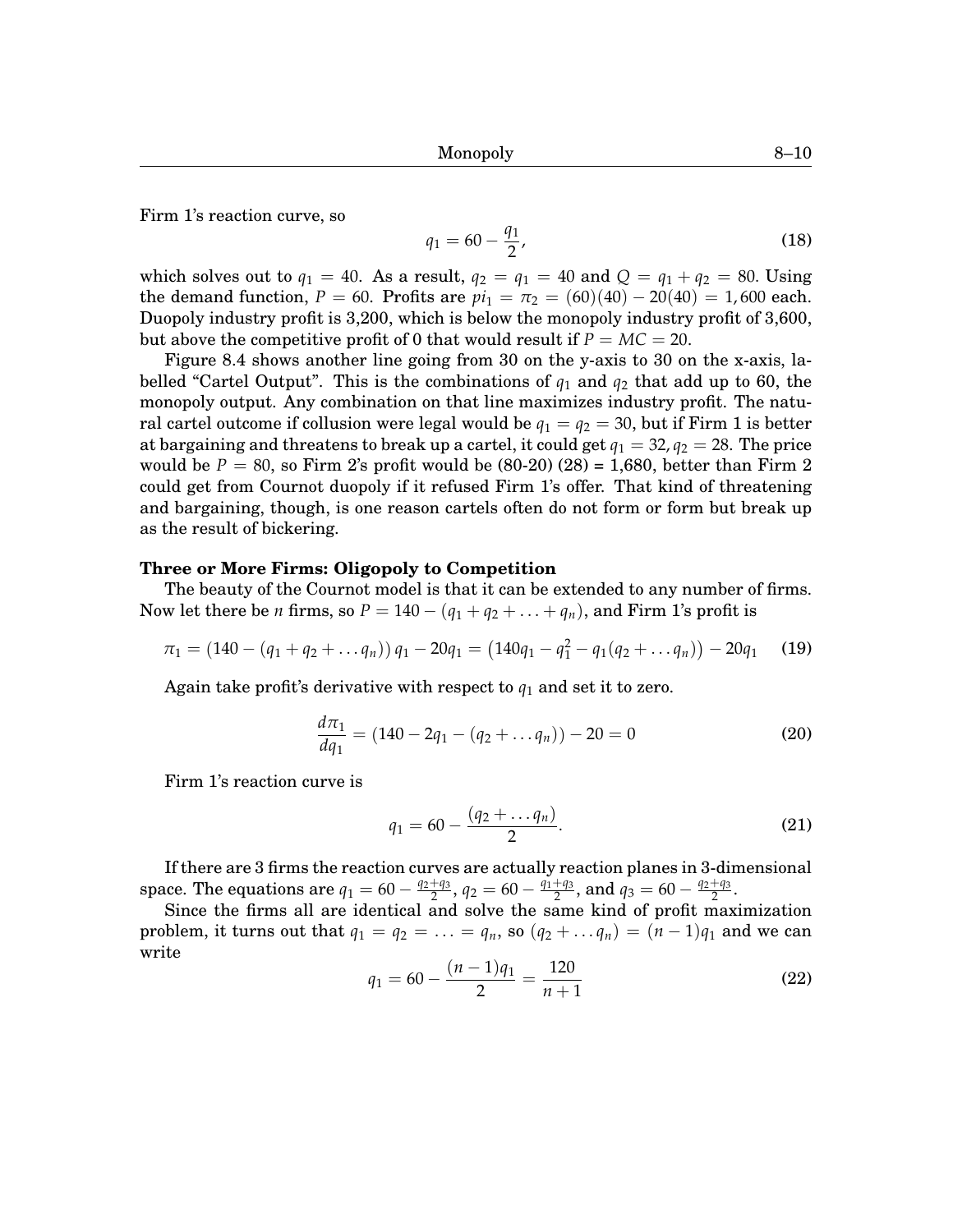Firm 1's reaction curve, so

$$
q_1 = 60 - \frac{q_1}{2},\tag{18}
$$

which solves out to  $q_1 = 40$ . As a result,  $q_2 = q_1 = 40$  and  $Q = q_1 + q_2 = 80$ . Using the demand function,  $P = 60$ . Profits are  $pi_1 = \pi_2 = (60)(40) - 20(40) = 1,600$  each. Duopoly industry profit is 3,200, which is below the monopoly industry profit of 3,600, but above the competitive profit of 0 that would result if  $P = MC = 20$ .

Figure [8](#page-0-0)[.4](#page-8-0) shows another line going from 30 on the y-axis to 30 on the x-axis, labelled "Cartel Output". This is the combinations of *q*<sup>1</sup> and *q*<sup>2</sup> that add up to 60, the monopoly output. Any combination on that line maximizes industry profit. The natural cartel outcome if collusion were legal would be  $q_1 = q_2 = 30$ , but if Firm 1 is better at bargaining and threatens to break up a cartel, it could get  $q_1 = 32, q_2 = 28$ . The price would be  $P = 80$ , so Firm 2's profit would be  $(80-20)(28) = 1,680$ , better than Firm 2 could get from Cournot duopoly if it refused Firm 1's offer. That kind of threatening and bargaining, though, is one reason cartels often do not form or form but break up as the result of bickering.

# **Three or More Firms: Oligopoly to Competition**

The beauty of the Cournot model is that it can be extended to any number of firms. Now let there be *n* firms, so  $P = 140 - (q_1 + q_2 + ... + q_n)$ , and Firm 1's profit is

$$
\pi_1 = (140 - (q_1 + q_2 + \dots q_n)) q_1 - 20q_1 = (140q_1 - q_1^2 - q_1(q_2 + \dots q_n)) - 20q_1 \quad (19)
$$

Again take profit's derivative with respect to *q*<sup>1</sup> and set it to zero.

$$
\frac{d\pi_1}{dq_1} = (140 - 2q_1 - (q_2 + \dots q_n)) - 20 = 0 \tag{20}
$$

Firm 1's reaction curve is

$$
q_1 = 60 - \frac{(q_2 + \dots q_n)}{2}.
$$
 (21)

If there are 3 firms the reaction curves are actually reaction planes in 3-dimensional space. The equations are  $q_1 = 60 - \frac{q_2+q_3}{2}$  $\frac{q_1+q_3}{2}$ ,  $q_2 = 60 - \frac{q_1+q_3}{2}$  $\frac{q_1}{2}$ , and  $q_3 = 60 - \frac{q_2+q_3}{2}$  $\frac{+q_3}{2}$ .

Since the firms all are identical and solve the same kind of profit maximization problem, it turns out that  $q_1 = q_2 = \ldots = q_n$ , so  $(q_2 + \ldots q_n) = (n-1)q_1$  and we can write

$$
q_1 = 60 - \frac{(n-1)q_1}{2} = \frac{120}{n+1}
$$
 (22)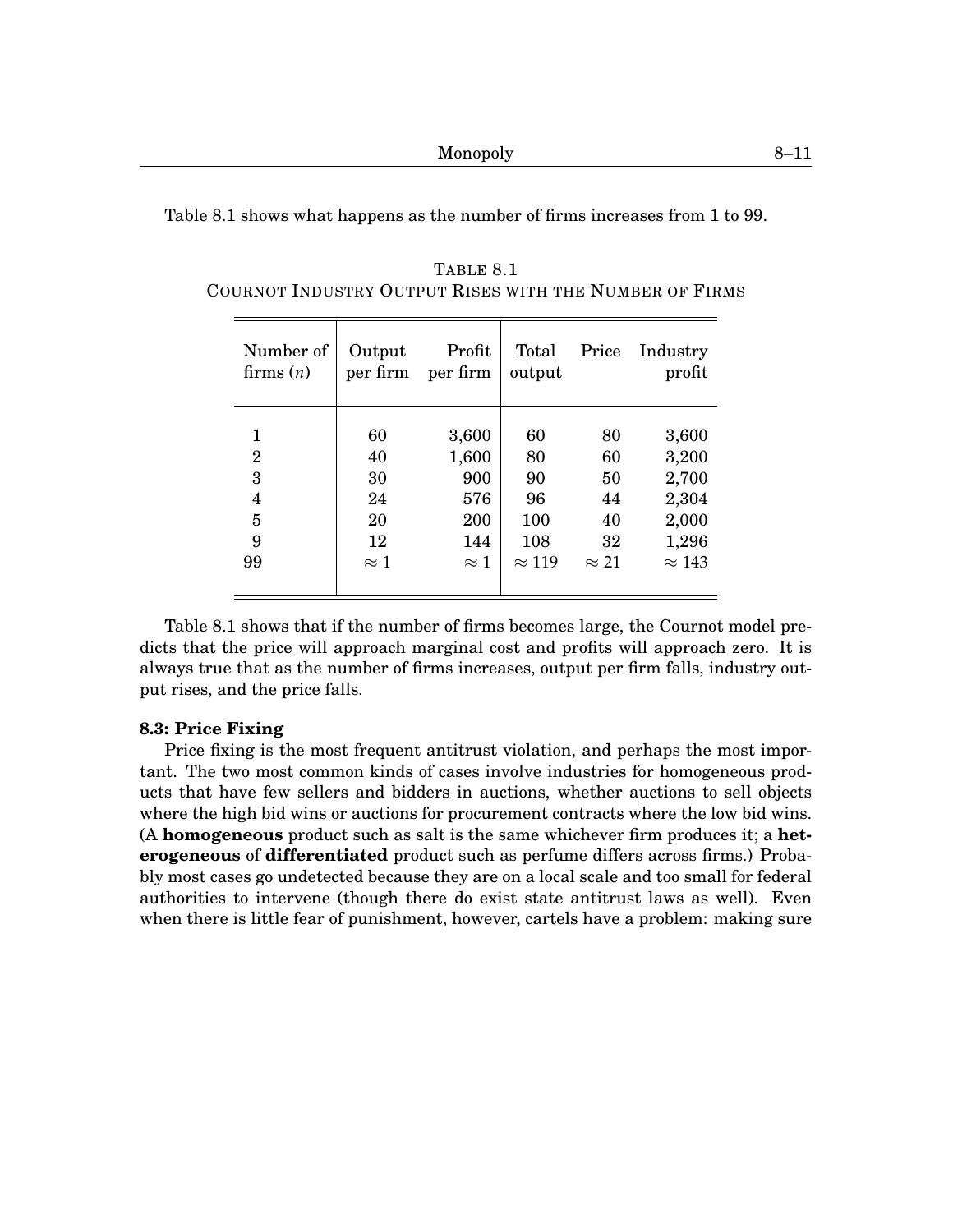<span id="page-10-0"></span>

|  | Table 8.1 shows what happens as the number of firms increases from 1 to 99. |  |  |  |
|--|-----------------------------------------------------------------------------|--|--|--|
|  |                                                                             |  |  |  |

| Number of      | Output      | Profit      | Total         | Price        | Industry      |
|----------------|-------------|-------------|---------------|--------------|---------------|
| firms $(n)$    | per firm    | per firm    | output        |              | profit        |
| 1              | 60          | 3,600       | 60            | 80           | 3,600         |
| $\overline{2}$ | 40          | 1,600       | 80            | 60           | 3,200         |
| 3              | 30          | 900         | 90            | 50           | 2,700         |
| 4              | 24          | 576         | 96            | 44           | 2,304         |
| 5              | 20          | 200         | 100           | 40           | 2,000         |
| 9              | 12          | 144         | 108           | 32           | 1,296         |
| 99             | $\approx$ 1 | $\approx$ 1 | $\approx$ 119 | $\approx$ 21 | $\approx$ 143 |

TABLE [8](#page-0-0)[.1](#page-10-0) COURNOT INDUSTRY OUTPUT RISES WITH THE NUMBER OF FIRMS

Table [8.](#page-0-0)[1](#page-10-0) shows that if the number of firms becomes large, the Cournot model predicts that the price will approach marginal cost and profits will approach zero. It is always true that as the number of firms increases, output per firm falls, industry output rises, and the price falls.

## **[8.](#page-0-0)3: Price Fixing**

Price fixing is the most frequent antitrust violation, and perhaps the most important. The two most common kinds of cases involve industries for homogeneous products that have few sellers and bidders in auctions, whether auctions to sell objects where the high bid wins or auctions for procurement contracts where the low bid wins. (A **homogeneous** product such as salt is the same whichever firm produces it; a **heterogeneous** of **differentiated** product such as perfume differs across firms.) Probably most cases go undetected because they are on a local scale and too small for federal authorities to intervene (though there do exist state antitrust laws as well). Even when there is little fear of punishment, however, cartels have a problem: making sure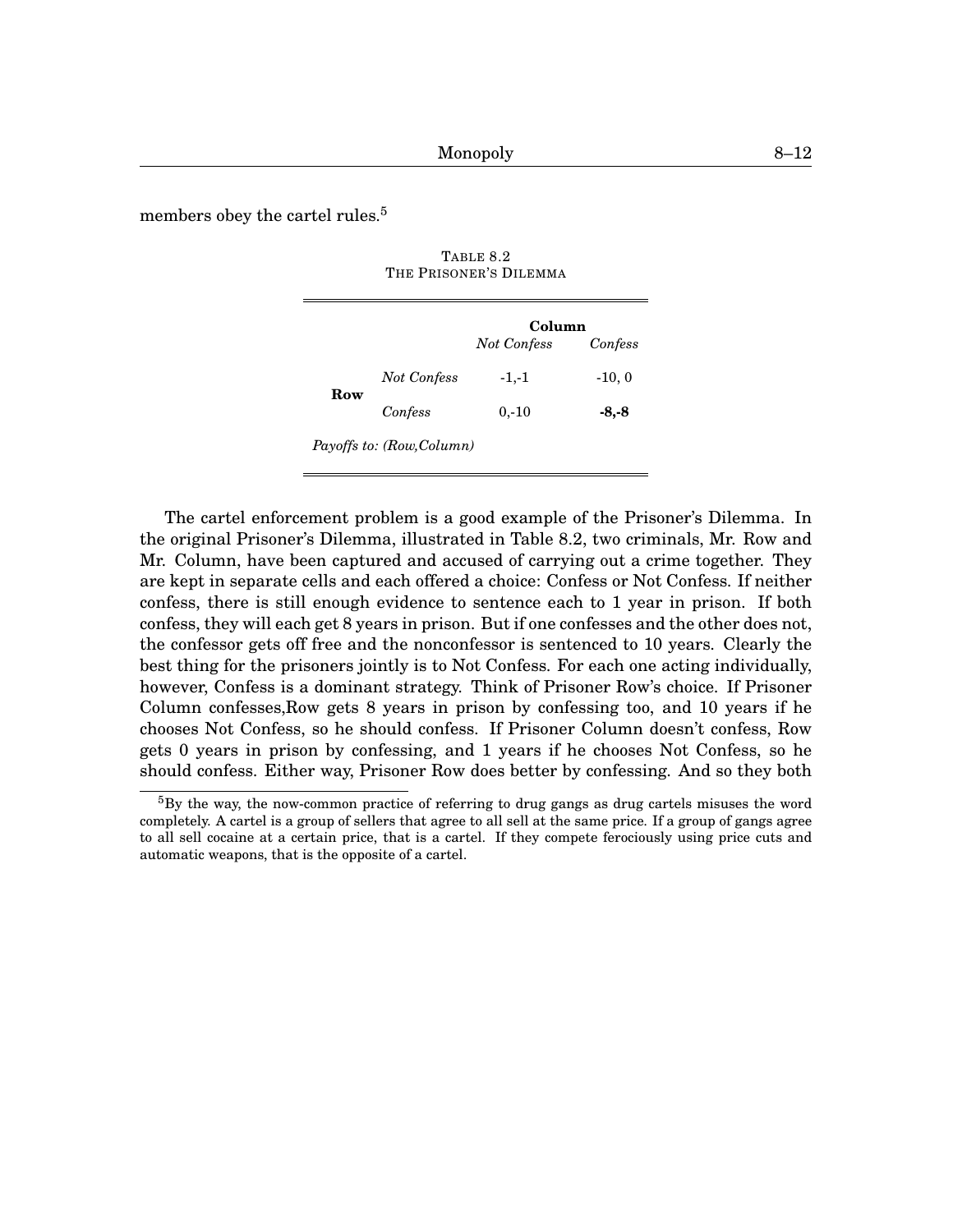<span id="page-11-0"></span>members obey the cartel rules.<sup>[5](#page-0-1)</sup>

|     |                           | Column             |          |  |
|-----|---------------------------|--------------------|----------|--|
|     |                           | <b>Not Confess</b> | Confess  |  |
| Row | <b>Not Confess</b>        | $-1,-1$            | $-10, 0$ |  |
|     | Confess                   | $0, -10$           | -8,-8    |  |
|     | Payoffs to: (Row, Column) |                    |          |  |

TABLE [8.](#page-0-0)[2](#page-11-0) THE PRISONER'S DILEMMA

The cartel enforcement problem is a good example of the Prisoner's Dilemma. In the original Prisoner's Dilemma, illustrated in Table [8](#page-0-0)[.2,](#page-11-0) two criminals, Mr. Row and Mr. Column, have been captured and accused of carrying out a crime together. They are kept in separate cells and each offered a choice: Confess or Not Confess. If neither confess, there is still enough evidence to sentence each to 1 year in prison. If both confess, they will each get 8 years in prison. But if one confesses and the other does not, the confessor gets off free and the nonconfessor is sentenced to 10 years. Clearly the best thing for the prisoners jointly is to Not Confess. For each one acting individually, however, Confess is a dominant strategy. Think of Prisoner Row's choice. If Prisoner Column confesses,Row gets 8 years in prison by confessing too, and 10 years if he chooses Not Confess, so he should confess. If Prisoner Column doesn't confess, Row gets 0 years in prison by confessing, and 1 years if he chooses Not Confess, so he should confess. Either way, Prisoner Row does better by confessing. And so they both

 ${}^{5}$ By the way, the now-common practice of referring to drug gangs as drug cartels misuses the word completely. A cartel is a group of sellers that agree to all sell at the same price. If a group of gangs agree to all sell cocaine at a certain price, that is a cartel. If they compete ferociously using price cuts and automatic weapons, that is the opposite of a cartel.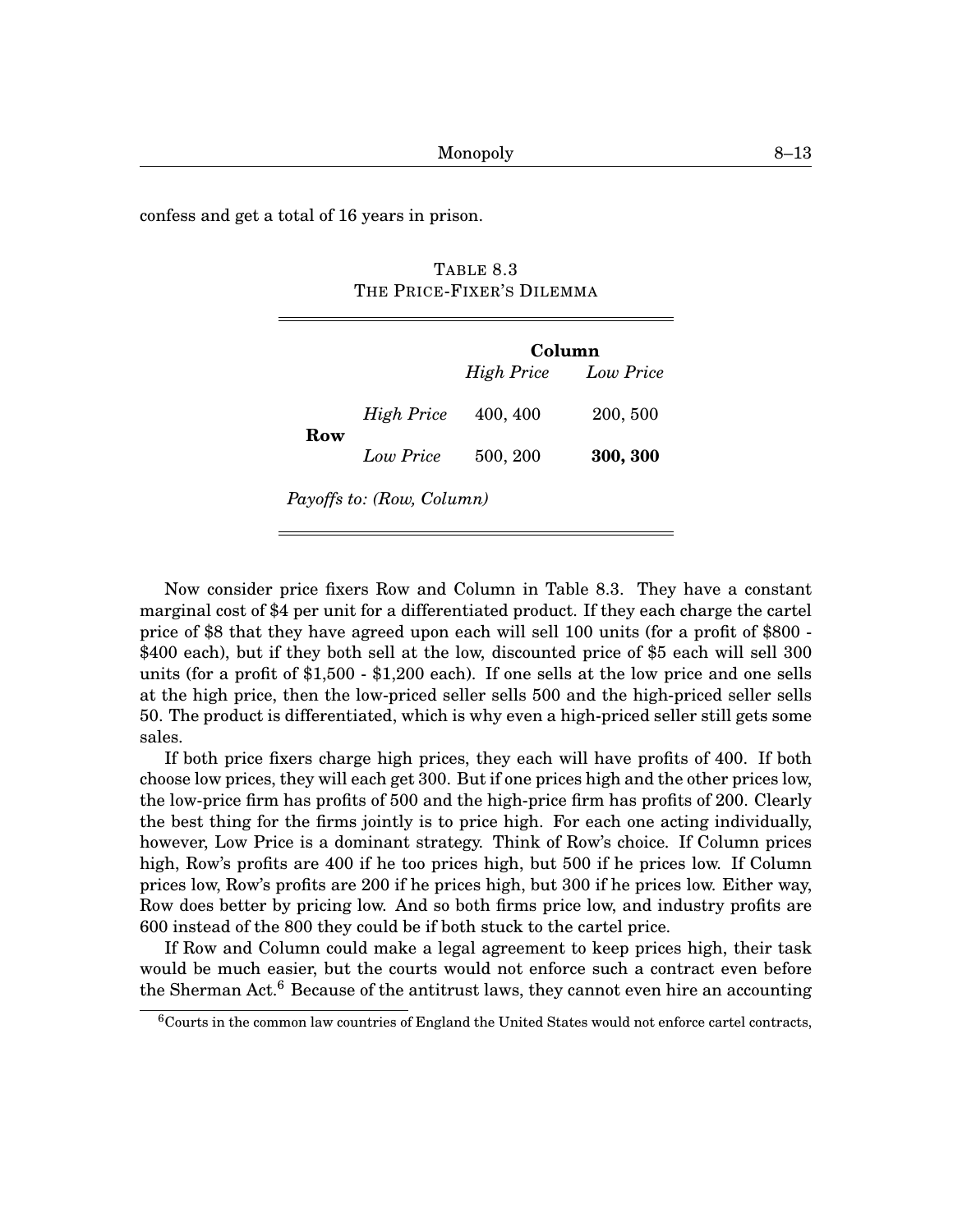<span id="page-12-0"></span>confess and get a total of 16 years in prison.

TABLE [8](#page-0-0)[.3](#page-12-0) THE PRICE-FIXER'S DILEMMA

|                           |                   | Column     |           |  |  |  |
|---------------------------|-------------------|------------|-----------|--|--|--|
|                           |                   | High Price | Low Price |  |  |  |
|                           | <b>High Price</b> | 400, 400   | 200, 500  |  |  |  |
| Row                       | Low Price         | 500, 200   | 300, 300  |  |  |  |
| Payoffs to: (Row, Column) |                   |            |           |  |  |  |

Now consider price fixers Row and Column in Table [8](#page-0-0)[.3.](#page-12-0) They have a constant marginal cost of \$4 per unit for a differentiated product. If they each charge the cartel price of \$8 that they have agreed upon each will sell 100 units (for a profit of \$800 - \$400 each), but if they both sell at the low, discounted price of \$5 each will sell 300 units (for a profit of \$1,500 - \$1,200 each). If one sells at the low price and one sells at the high price, then the low-priced seller sells 500 and the high-priced seller sells 50. The product is differentiated, which is why even a high-priced seller still gets some sales.

If both price fixers charge high prices, they each will have profits of 400. If both choose low prices, they will each get 300. But if one prices high and the other prices low, the low-price firm has profits of 500 and the high-price firm has profits of 200. Clearly the best thing for the firms jointly is to price high. For each one acting individually, however, Low Price is a dominant strategy. Think of Row's choice. If Column prices high, Row's profits are 400 if he too prices high, but 500 if he prices low. If Column prices low, Row's profits are 200 if he prices high, but 300 if he prices low. Either way, Row does better by pricing low. And so both firms price low, and industry profits are 600 instead of the 800 they could be if both stuck to the cartel price.

If Row and Column could make a legal agreement to keep prices high, their task would be much easier, but the courts would not enforce such a contract even before the Sherman Act.<sup>[6](#page-0-1)</sup> Because of the antitrust laws, they cannot even hire an accounting

 $6$ Courts in the common law countries of England the United States would not enforce cartel contracts,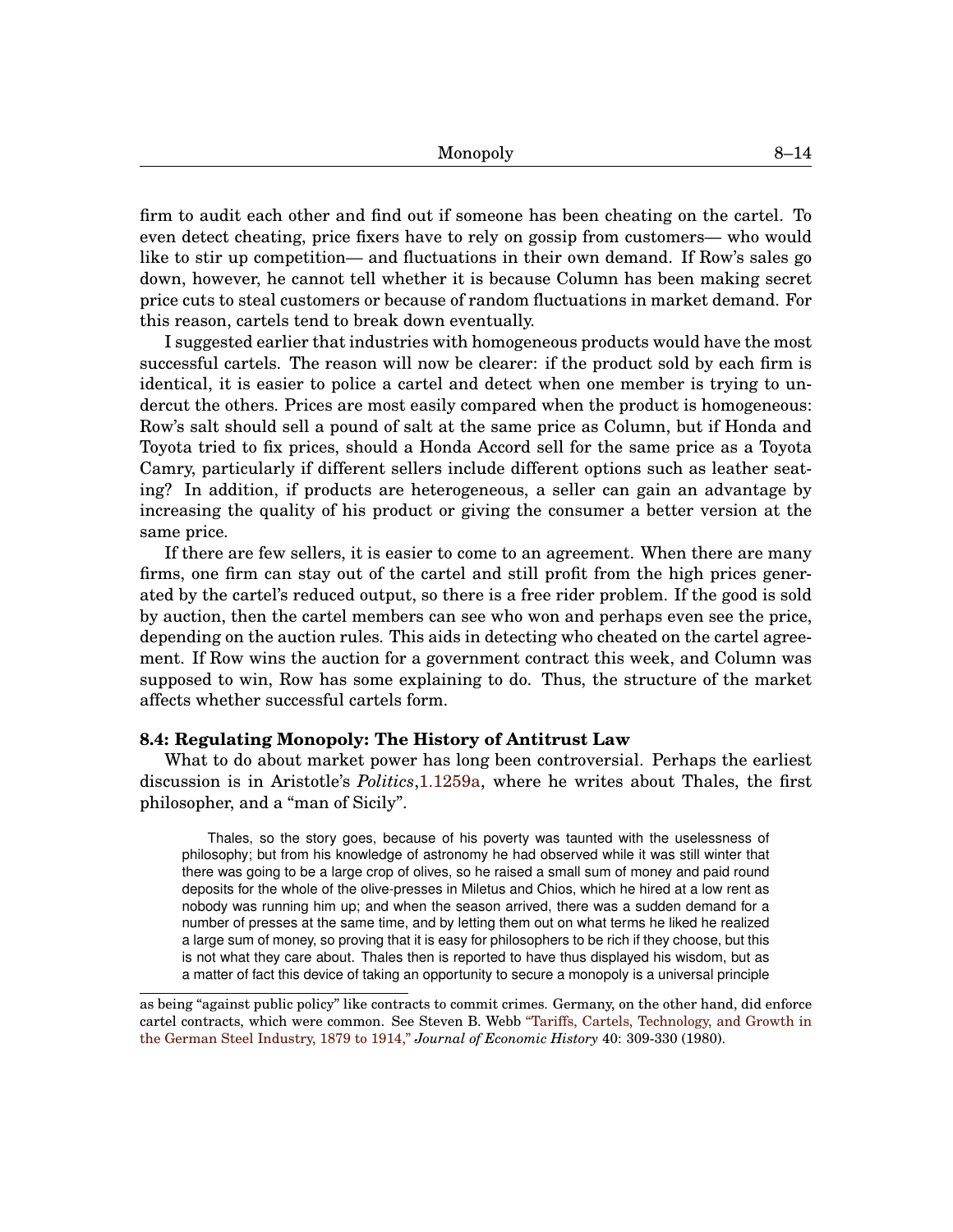firm to audit each other and find out if someone has been cheating on the cartel. To even detect cheating, price fixers have to rely on gossip from customers— who would like to stir up competition— and fluctuations in their own demand. If Row's sales go down, however, he cannot tell whether it is because Column has been making secret price cuts to steal customers or because of random fluctuations in market demand. For this reason, cartels tend to break down eventually.

I suggested earlier that industries with homogeneous products would have the most successful cartels. The reason will now be clearer: if the product sold by each firm is identical, it is easier to police a cartel and detect when one member is trying to undercut the others. Prices are most easily compared when the product is homogeneous: Row's salt should sell a pound of salt at the same price as Column, but if Honda and Toyota tried to fix prices, should a Honda Accord sell for the same price as a Toyota Camry, particularly if different sellers include different options such as leather seating? In addition, if products are heterogeneous, a seller can gain an advantage by increasing the quality of his product or giving the consumer a better version at the same price.

If there are few sellers, it is easier to come to an agreement. When there are many firms, one firm can stay out of the cartel and still profit from the high prices generated by the cartel's reduced output, so there is a free rider problem. If the good is sold by auction, then the cartel members can see who won and perhaps even see the price, depending on the auction rules. This aids in detecting who cheated on the cartel agreement. If Row wins the auction for a government contract this week, and Column was supposed to win, Row has some explaining to do. Thus, the structure of the market affects whether successful cartels form.

# **[8.](#page-0-0)4: Regulating Monopoly: The History of Antitrust Law**

What to do about market power has long been controversial. Perhaps the earliest discussion is in Aristotle's *Politics*[,1.1259a,](http://www.perseus.tufts.edu/hopper/text?doc=Perseus:text:1999.01.0058:book=1:section= 1259a&highlight=thales) where he writes about Thales, the first philosopher, and a "man of Sicily".

Thales, so the story goes, because of his poverty was taunted with the uselessness of philosophy; but from his knowledge of astronomy he had observed while it was still winter that there was going to be a large crop of olives, so he raised a small sum of money and paid round deposits for the whole of the olive-presses in Miletus and Chios, which he hired at a low rent as nobody was running him up; and when the season arrived, there was a sudden demand for a number of presses at the same time, and by letting them out on what terms he liked he realized a large sum of money, so proving that it is easy for philosophers to be rich if they choose, but this is not what they care about. Thales then is reported to have thus displayed his wisdom, but as a matter of fact this device of taking an opportunity to secure a monopoly is a universal principle

as being "against public policy" like contracts to commit crimes. Germany, on the other hand, did enforce cartel contracts, which were common. See Steven B. Webb ["Tariffs, Cartels, Technology, and Growth in](http://www.jstor.org/stable/2120181 ) [the German Steel Industry, 1879 to 1914,"](http://www.jstor.org/stable/2120181 ) *Journal of Economic History* 40: 309-330 (1980).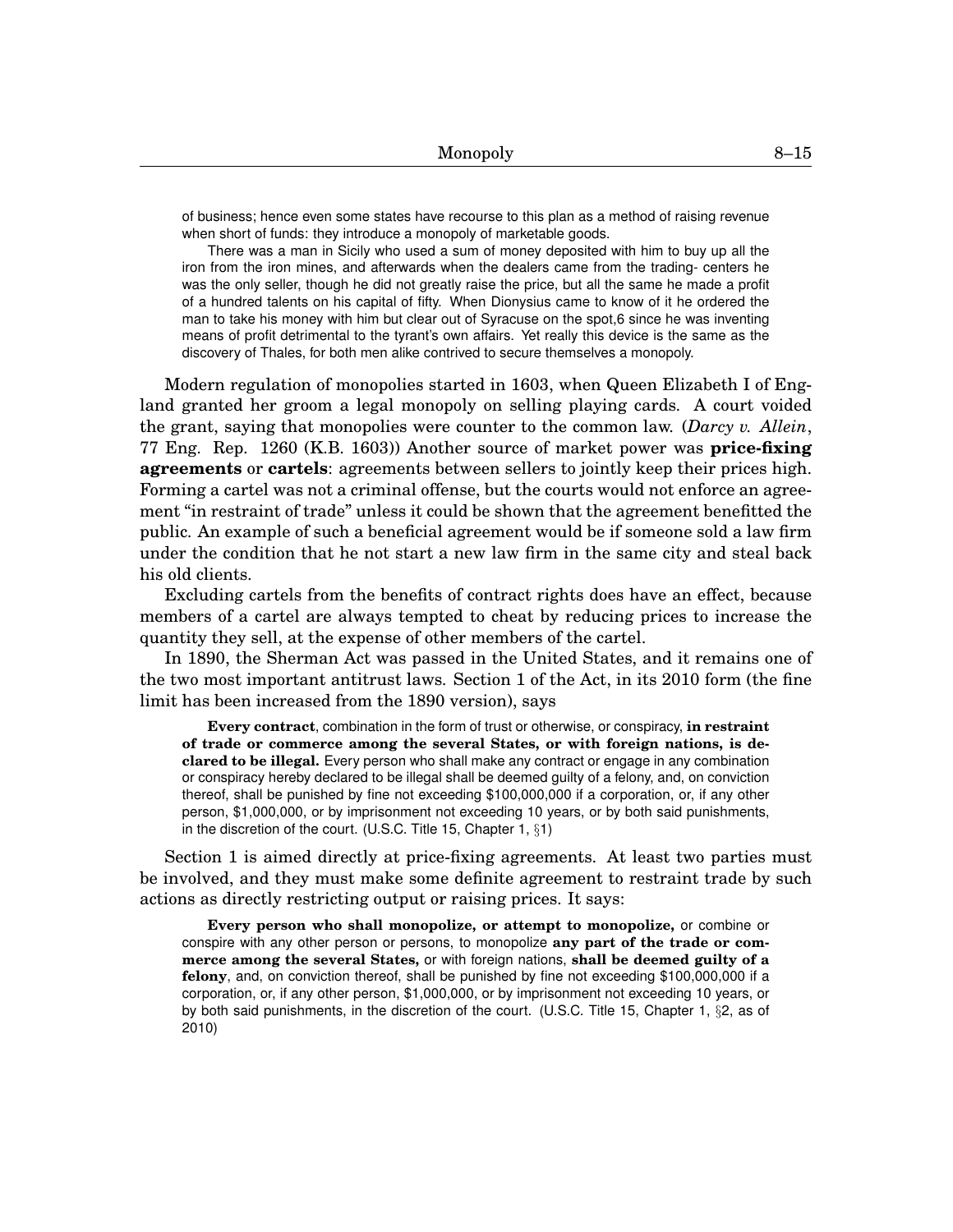of business; hence even some states have recourse to this plan as a method of raising revenue when short of funds: they introduce a monopoly of marketable goods.

There was a man in Sicily who used a sum of money deposited with him to buy up all the iron from the iron mines, and afterwards when the dealers came from the trading- centers he was the only seller, though he did not greatly raise the price, but all the same he made a profit of a hundred talents on his capital of fifty. When Dionysius came to know of it he ordered the man to take his money with him but clear out of Syracuse on the spot,6 since he was inventing means of profit detrimental to the tyrant's own affairs. Yet really this device is the same as the discovery of Thales, for both men alike contrived to secure themselves a monopoly.

Modern regulation of monopolies started in 1603, when Queen Elizabeth I of England granted her groom a legal monopoly on selling playing cards. A court voided the grant, saying that monopolies were counter to the common law. (*Darcy v. Allein*, 77 Eng. Rep. 1260 (K.B. 1603)) Another source of market power was **price-fixing agreements** or **cartels**: agreements between sellers to jointly keep their prices high. Forming a cartel was not a criminal offense, but the courts would not enforce an agreement "in restraint of trade" unless it could be shown that the agreement benefitted the public. An example of such a beneficial agreement would be if someone sold a law firm under the condition that he not start a new law firm in the same city and steal back his old clients.

Excluding cartels from the benefits of contract rights does have an effect, because members of a cartel are always tempted to cheat by reducing prices to increase the quantity they sell, at the expense of other members of the cartel.

In 1890, the Sherman Act was passed in the United States, and it remains one of the two most important antitrust laws. Section 1 of the Act, in its 2010 form (the fine limit has been increased from the 1890 version), says

**Every contract**, combination in the form of trust or otherwise, or conspiracy, **in restraint of trade or commerce among the several States, or with foreign nations, is declared to be illegal.** Every person who shall make any contract or engage in any combination or conspiracy hereby declared to be illegal shall be deemed guilty of a felony, and, on conviction thereof, shall be punished by fine not exceeding \$100,000,000 if a corporation, or, if any other person, \$1,000,000, or by imprisonment not exceeding 10 years, or by both said punishments, in the discretion of the court. (U.S.C. Title 15, Chapter 1, §1)

Section 1 is aimed directly at price-fixing agreements. At least two parties must be involved, and they must make some definite agreement to restraint trade by such actions as directly restricting output or raising prices. It says:

**Every person who shall monopolize, or attempt to monopolize,** or combine or conspire with any other person or persons, to monopolize **any part of the trade or commerce among the several States,** or with foreign nations, **shall be deemed guilty of a felony**, and, on conviction thereof, shall be punished by fine not exceeding \$100,000,000 if a corporation, or, if any other person, \$1,000,000, or by imprisonment not exceeding 10 years, or by both said punishments, in the discretion of the court. (U.S.C. Title 15, Chapter 1, §2, as of 2010)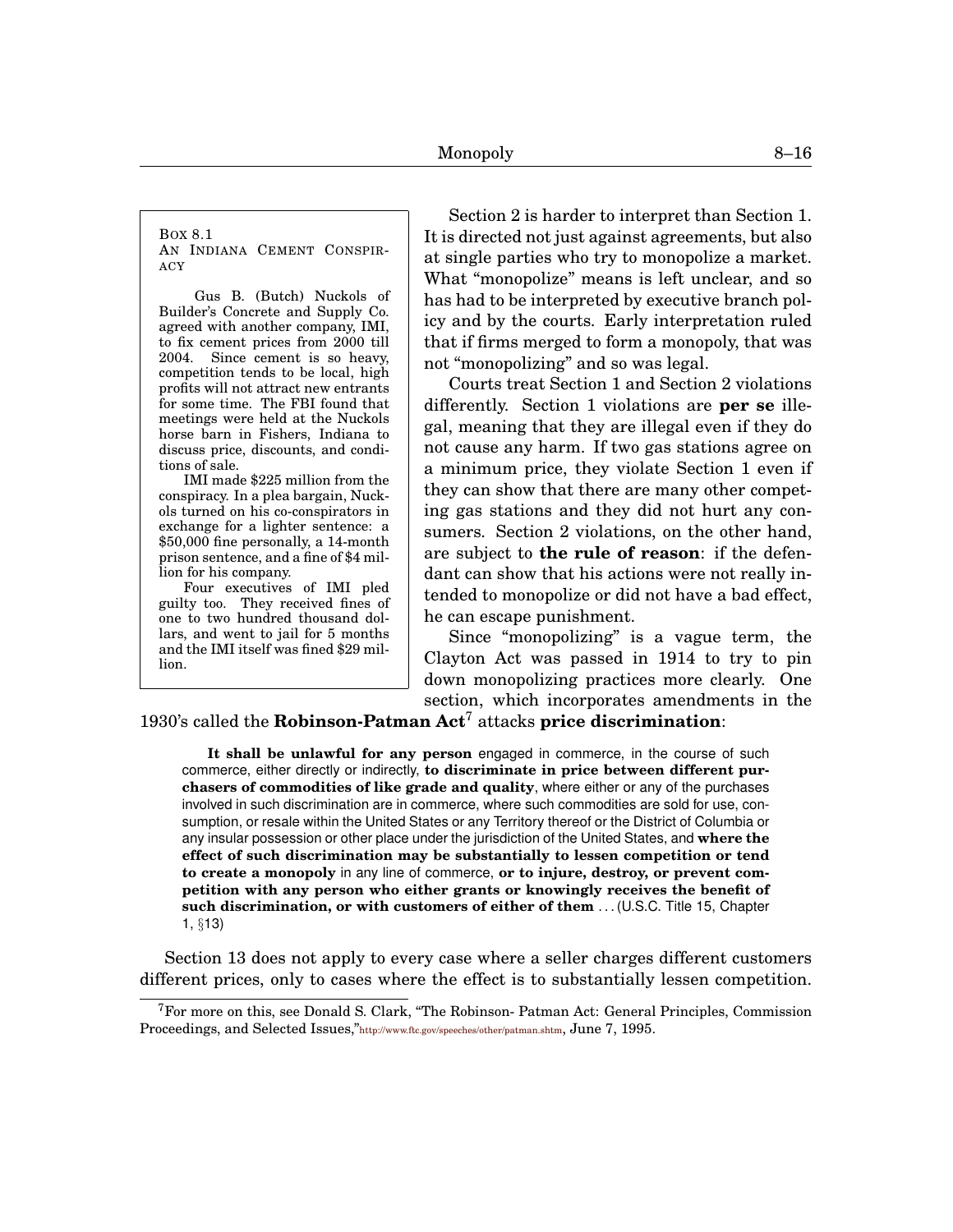<span id="page-15-0"></span>BOX [8.](#page-0-0)[1](#page-15-0) AN INDIANA CEMENT CONSPIR-ACY

Gus B. (Butch) Nuckols of Builder's Concrete and Supply Co. agreed with another company, IMI, to fix cement prices from 2000 till 2004. Since cement is so heavy, competition tends to be local, high profits will not attract new entrants for some time. The FBI found that meetings were held at the Nuckols horse barn in Fishers, Indiana to discuss price, discounts, and conditions of sale.

IMI made \$225 million from the conspiracy. In a plea bargain, Nuckols turned on his co-conspirators in exchange for a lighter sentence: a \$50,000 fine personally, a 14-month prison sentence, and a fine of \$4 million for his company.

Four executives of IMI pled guilty too. They received fines of one to two hundred thousand dollars, and went to jail for 5 months and the IMI itself was fined \$29 million.

Section 2 is harder to interpret than Section 1. It is directed not just against agreements, but also at single parties who try to monopolize a market. What "monopolize" means is left unclear, and so has had to be interpreted by executive branch policy and by the courts. Early interpretation ruled that if firms merged to form a monopoly, that was not "monopolizing" and so was legal.

Courts treat Section 1 and Section 2 violations differently. Section 1 violations are **per se** illegal, meaning that they are illegal even if they do not cause any harm. If two gas stations agree on a minimum price, they violate Section 1 even if they can show that there are many other competing gas stations and they did not hurt any consumers. Section 2 violations, on the other hand, are subject to **the rule of reason**: if the defendant can show that his actions were not really intended to monopolize or did not have a bad effect, he can escape punishment.

Since "monopolizing" is a vague term, the Clayton Act was passed in 1914 to try to pin down monopolizing practices more clearly. One section, which incorporates amendments in the

1930's called the **Robinson-Patman Act**[7](#page-0-1) attacks **price discrimination**:

**It shall be unlawful for any person** engaged in commerce, in the course of such commerce, either directly or indirectly, **to discriminate in price between different purchasers of commodities of like grade and quality**, where either or any of the purchases involved in such discrimination are in commerce, where such commodities are sold for use, consumption, or resale within the United States or any Territory thereof or the District of Columbia or any insular possession or other place under the jurisdiction of the United States, and **where the effect of such discrimination may be substantially to lessen competition or tend to create a monopoly** in any line of commerce, **or to injure, destroy, or prevent competition with any person who either grants or knowingly receives the benefit of such discrimination, or with customers of either of them** . . . (U.S.C. Title 15, Chapter 1, §13)

Section 13 does not apply to every case where a seller charges different customers different prices, only to cases where the effect is to substantially lessen competition.

 ${}^{7}$ For more on this, see Donald S. Clark, "The Robinson- Patman Act: General Principles, Commission Proceedings, and Selected Issues,"<http://www.ftc.gov/speeches/other/patman.shtm>, June 7, 1995.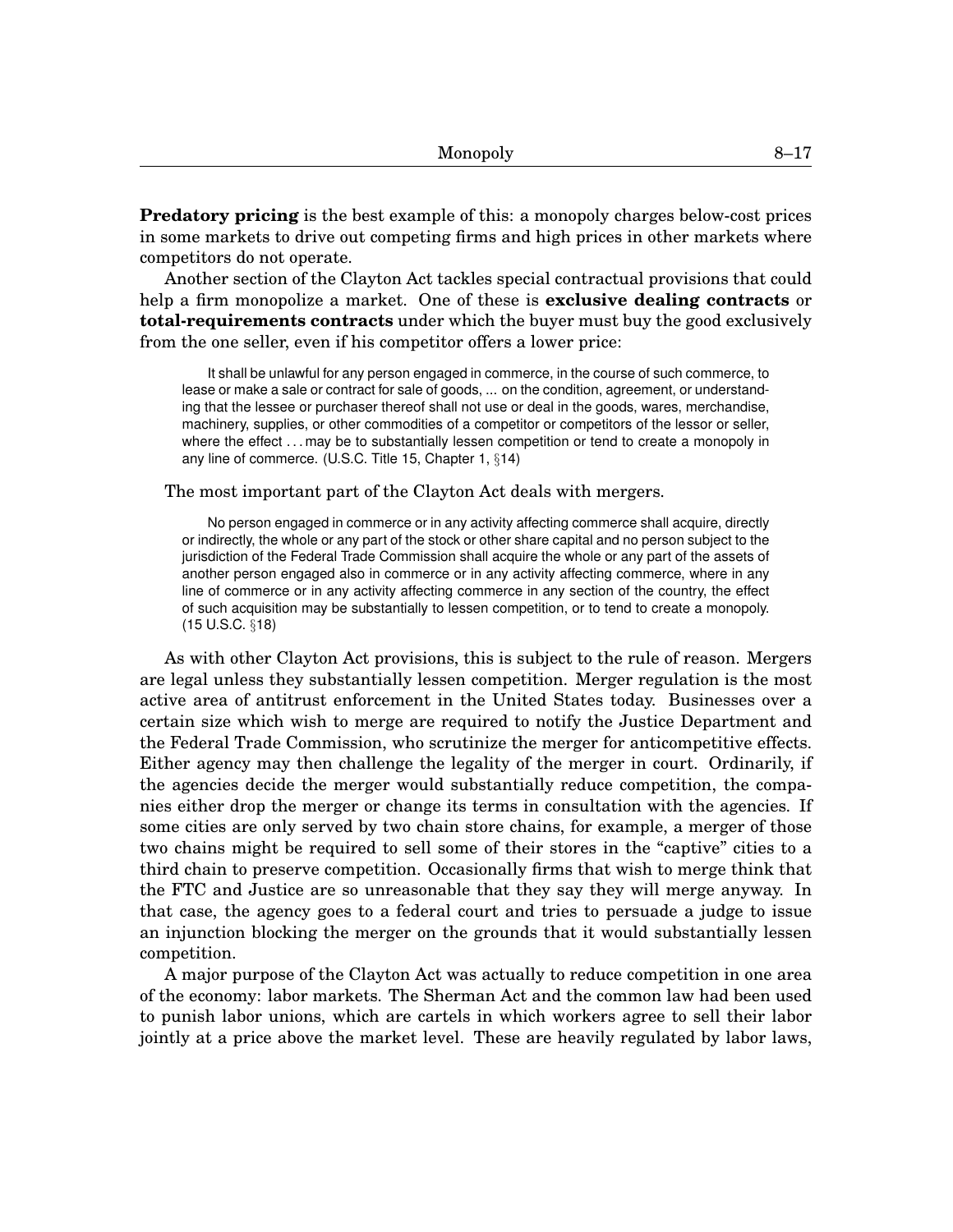**Predatory pricing** is the best example of this: a monopoly charges below-cost prices in some markets to drive out competing firms and high prices in other markets where competitors do not operate.

Another section of the Clayton Act tackles special contractual provisions that could help a firm monopolize a market. One of these is **exclusive dealing contracts** or **total-requirements contracts** under which the buyer must buy the good exclusively from the one seller, even if his competitor offers a lower price:

It shall be unlawful for any person engaged in commerce, in the course of such commerce, to lease or make a sale or contract for sale of goods, ... on the condition, agreement, or understanding that the lessee or purchaser thereof shall not use or deal in the goods, wares, merchandise, machinery, supplies, or other commodities of a competitor or competitors of the lessor or seller, where the effect . . . may be to substantially lessen competition or tend to create a monopoly in any line of commerce. (U.S.C. Title 15, Chapter 1, §14)

#### The most important part of the Clayton Act deals with mergers.

No person engaged in commerce or in any activity affecting commerce shall acquire, directly or indirectly, the whole or any part of the stock or other share capital and no person subject to the jurisdiction of the Federal Trade Commission shall acquire the whole or any part of the assets of another person engaged also in commerce or in any activity affecting commerce, where in any line of commerce or in any activity affecting commerce in any section of the country, the effect of such acquisition may be substantially to lessen competition, or to tend to create a monopoly. (15 U.S.C. §18)

As with other Clayton Act provisions, this is subject to the rule of reason. Mergers are legal unless they substantially lessen competition. Merger regulation is the most active area of antitrust enforcement in the United States today. Businesses over a certain size which wish to merge are required to notify the Justice Department and the Federal Trade Commission, who scrutinize the merger for anticompetitive effects. Either agency may then challenge the legality of the merger in court. Ordinarily, if the agencies decide the merger would substantially reduce competition, the companies either drop the merger or change its terms in consultation with the agencies. If some cities are only served by two chain store chains, for example, a merger of those two chains might be required to sell some of their stores in the "captive" cities to a third chain to preserve competition. Occasionally firms that wish to merge think that the FTC and Justice are so unreasonable that they say they will merge anyway. In that case, the agency goes to a federal court and tries to persuade a judge to issue an injunction blocking the merger on the grounds that it would substantially lessen competition.

A major purpose of the Clayton Act was actually to reduce competition in one area of the economy: labor markets. The Sherman Act and the common law had been used to punish labor unions, which are cartels in which workers agree to sell their labor jointly at a price above the market level. These are heavily regulated by labor laws,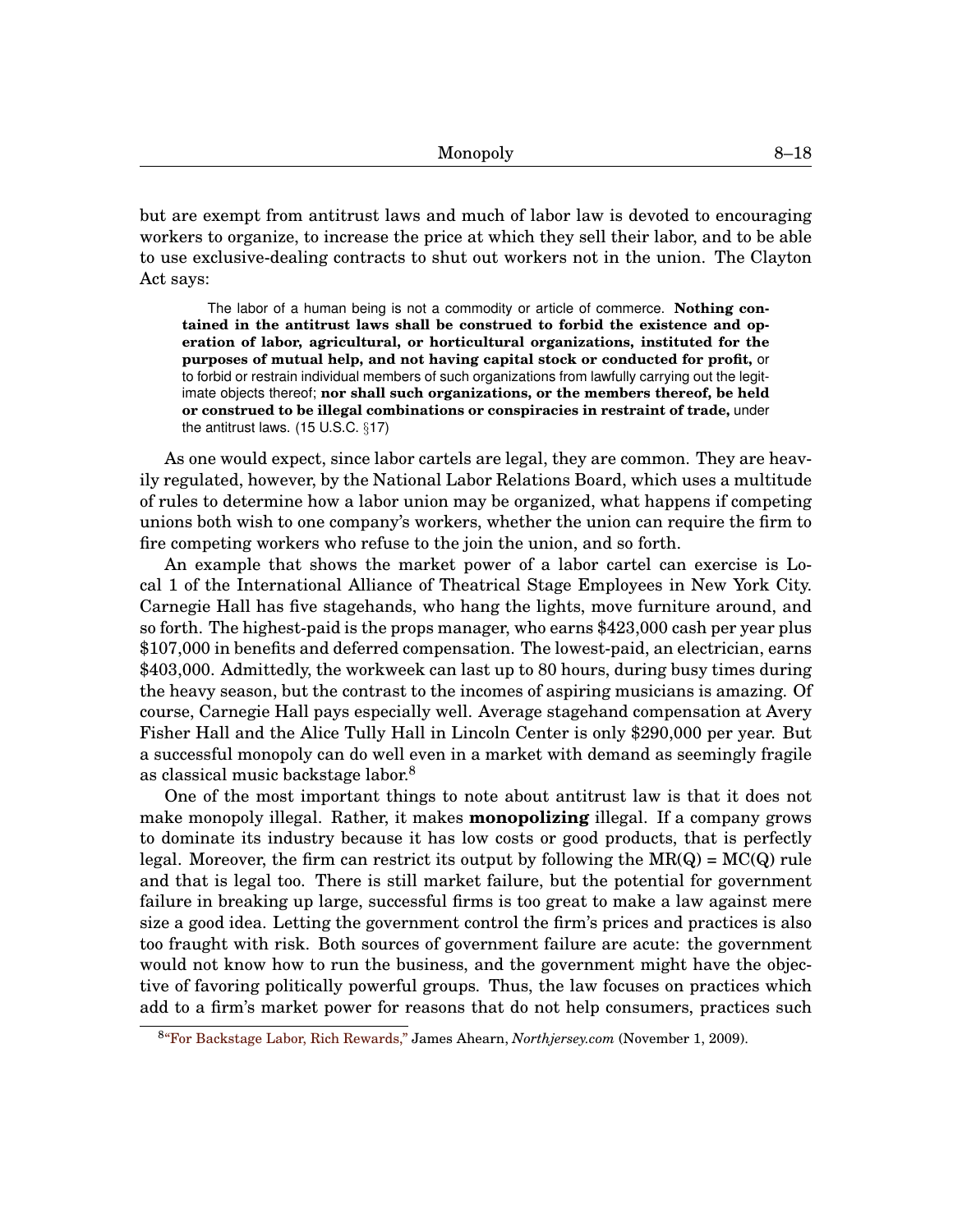but are exempt from antitrust laws and much of labor law is devoted to encouraging workers to organize, to increase the price at which they sell their labor, and to be able to use exclusive-dealing contracts to shut out workers not in the union. The Clayton Act says:

The labor of a human being is not a commodity or article of commerce. **Nothing contained in the antitrust laws shall be construed to forbid the existence and operation of labor, agricultural, or horticultural organizations, instituted for the purposes of mutual help, and not having capital stock or conducted for profit,** or to forbid or restrain individual members of such organizations from lawfully carrying out the legitimate objects thereof; **nor shall such organizations, or the members thereof, be held or construed to be illegal combinations or conspiracies in restraint of trade,** under the antitrust laws. (15 U.S.C. §17)

As one would expect, since labor cartels are legal, they are common. They are heavily regulated, however, by the National Labor Relations Board, which uses a multitude of rules to determine how a labor union may be organized, what happens if competing unions both wish to one company's workers, whether the union can require the firm to fire competing workers who refuse to the join the union, and so forth.

An example that shows the market power of a labor cartel can exercise is Local 1 of the International Alliance of Theatrical Stage Employees in New York City. Carnegie Hall has five stagehands, who hang the lights, move furniture around, and so forth. The highest-paid is the props manager, who earns \$423,000 cash per year plus \$107,000 in benefits and deferred compensation. The lowest-paid, an electrician, earns \$403,000. Admittedly, the workweek can last up to 80 hours, during busy times during the heavy season, but the contrast to the incomes of aspiring musicians is amazing. Of course, Carnegie Hall pays especially well. Average stagehand compensation at Avery Fisher Hall and the Alice Tully Hall in Lincoln Center is only \$290,000 per year. But a successful monopoly can do well even in a market with demand as seemingly fragile as classical music backstage labor.<sup>[8](#page-0-1)</sup>

One of the most important things to note about antitrust law is that it does not make monopoly illegal. Rather, it makes **monopolizing** illegal. If a company grows to dominate its industry because it has low costs or good products, that is perfectly legal. Moreover, the firm can restrict its output by following the  $MR(Q) = MC(Q)$  rule and that is legal too. There is still market failure, but the potential for government failure in breaking up large, successful firms is too great to make a law against mere size a good idea. Letting the government control the firm's prices and practices is also too fraught with risk. Both sources of government failure are acute: the government would not know how to run the business, and the government might have the objective of favoring politically powerful groups. Thus, the law focuses on practices which add to a firm's market power for reasons that do not help consumers, practices such

<sup>8</sup> ["For Backstage Labor, Rich Rewards,"](http://www.northjersey.com/news/opinions/68164552.html?page=all) James Ahearn, *Northjersey.com* (November 1, 2009).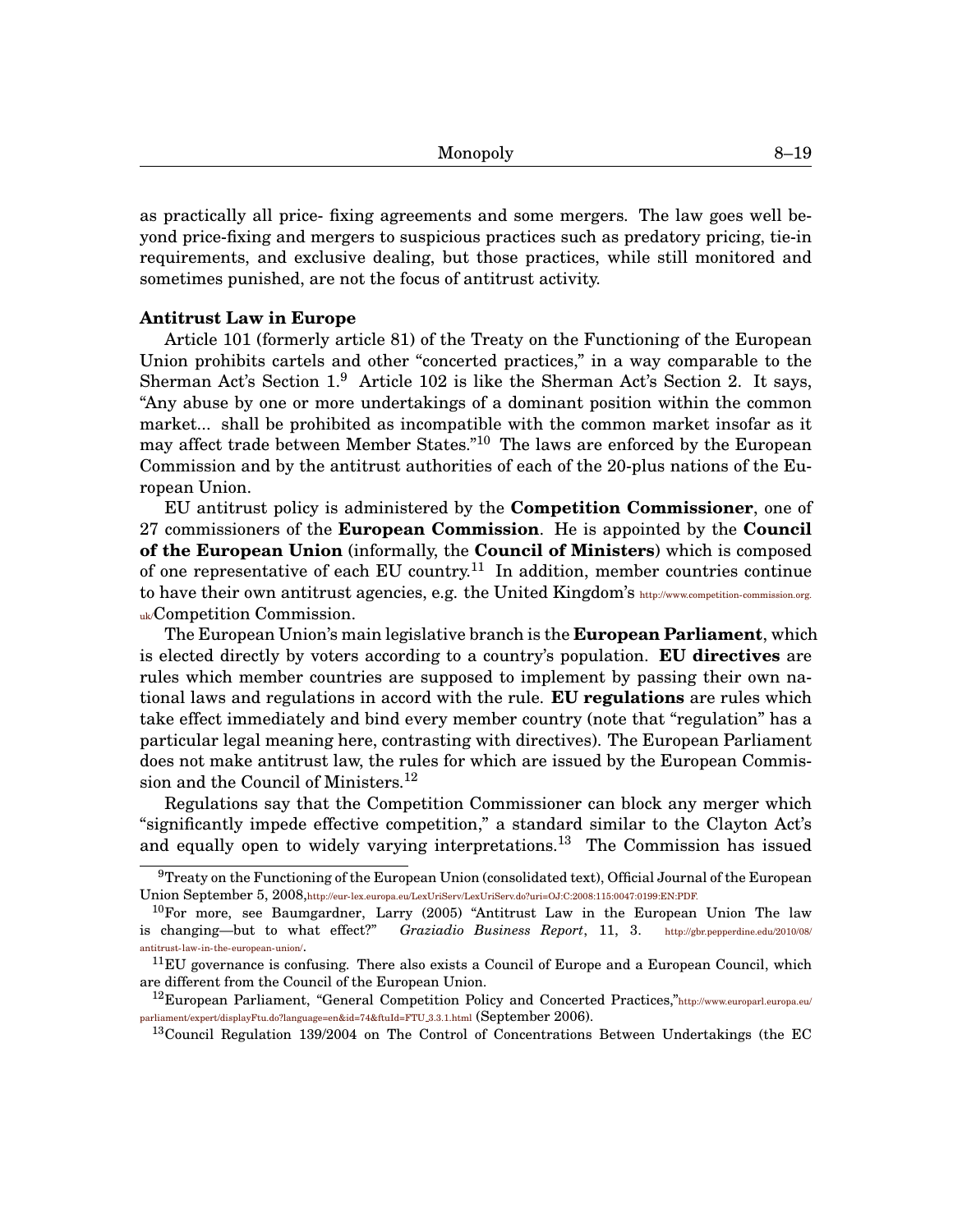as practically all price- fixing agreements and some mergers. The law goes well beyond price-fixing and mergers to suspicious practices such as predatory pricing, tie-in requirements, and exclusive dealing, but those practices, while still monitored and sometimes punished, are not the focus of antitrust activity.

## **Antitrust Law in Europe**

Article 101 (formerly article 81) of the Treaty on the Functioning of the European Union prohibits cartels and other "concerted practices," in a way comparable to the Sherman Act's Section 1.[9](#page-0-1) Article 102 is like the Sherman Act's Section 2. It says, "Any abuse by one or more undertakings of a dominant position within the common market... shall be prohibited as incompatible with the common market insofar as it may affect trade between Member States."<sup>[10](#page-0-1)</sup> The laws are enforced by the European Commission and by the antitrust authorities of each of the 20-plus nations of the European Union.

EU antitrust policy is administered by the **Competition Commissioner**, one of 27 commissioners of the **European Commission**. He is appointed by the **Council of the European Union** (informally, the **Council of Ministers**) which is composed of one representative of each EU country.<sup>[11](#page-0-1)</sup> In addition, member countries continue to have their own antitrust agencies, e.g. the United Kingdom's [http://www.competition-commission.org.](http://www.competition-commission.org.uk/) [uk/](http://www.competition-commission.org.uk/)Competition Commission.

The European Union's main legislative branch is the **European Parliament**, which is elected directly by voters according to a country's population. **EU directives** are rules which member countries are supposed to implement by passing their own national laws and regulations in accord with the rule. **EU regulations** are rules which take effect immediately and bind every member country (note that "regulation" has a particular legal meaning here, contrasting with directives). The European Parliament does not make antitrust law, the rules for which are issued by the European Commis-sion and the Council of Ministers.<sup>[12](#page-0-1)</sup>

Regulations say that the Competition Commissioner can block any merger which "significantly impede effective competition," a standard similar to the Clayton Act's and equally open to widely varying interpretations.<sup>[13](#page-0-1)</sup> The Commission has issued

 $9$ Treaty on the Functioning of the European Union (consolidated text), Official Journal of the European Union September 5, 2008,<http://eur- lex.europa.eu/LexUriServ/LexUriServ.do?uri=OJ:C:2008:115:0047:0199:EN:PDF.>

 $10$ For more, see Baumgardner, Larry (2005) "Antitrust Law in the European Union The law is changing—but to what effect?" *Graziadio Business Report*, 11, 3. [http://gbr.pepperdine.edu/2010/08/]( http://gbr.pepperdine.edu/2010/08/antitrust-law-in-the-european-union/) [antitrust- law- in-the-european-union/]( http://gbr.pepperdine.edu/2010/08/antitrust-law-in-the-european-union/).

 $11$ EU governance is confusing. There also exists a Council of Europe and a European Council, which are different from the Council of the European Union.

<sup>&</sup>lt;sup>12</sup>European Parliament, "General Competition Policy and Concerted Practices,"[http://www.europarl.europa.eu/](http://www.europarl.europa.eu/parliament/expert/displayFtu.do?language=en&id= 74&ftuId=FTU_3.3.1.html) [parliament/expert/displayFtu.do?language=en&id=74&ftuId=FTU](http://www.europarl.europa.eu/parliament/expert/displayFtu.do?language=en&id= 74&ftuId=FTU_3.3.1.html)\_3.3.1.html (September 2006).

<sup>&</sup>lt;sup>13</sup>Council Regulation 139/2004 on The Control of Concentrations Between Undertakings (the EC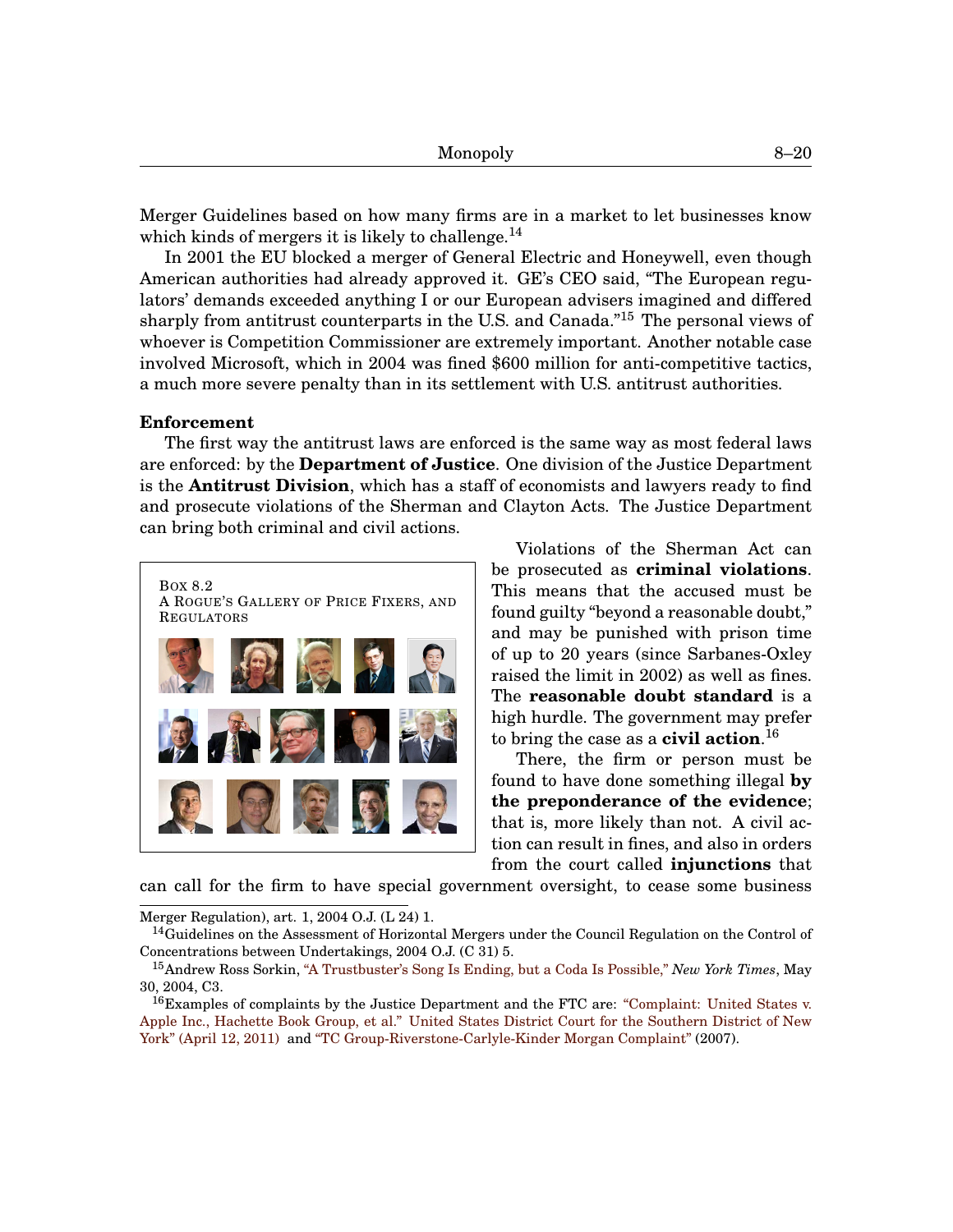Merger Guidelines based on how many firms are in a market to let businesses know which kinds of mergers it is likely to challenge.<sup>[14](#page-0-1)</sup>

In 2001 the EU blocked a merger of General Electric and Honeywell, even though American authorities had already approved it. GE's CEO said, "The European regulators' demands exceeded anything I or our European advisers imagined and differed sharply from antitrust counterparts in the U.S. and Canada."[15](#page-0-1) The personal views of whoever is Competition Commissioner are extremely important. Another notable case involved Microsoft, which in 2004 was fined \$600 million for anti-competitive tactics, a much more severe penalty than in its settlement with U.S. antitrust authorities.

#### **Enforcement**

The first way the antitrust laws are enforced is the same way as most federal laws are enforced: by the **Department of Justice**. One division of the Justice Department is the **Antitrust Division**, which has a staff of economists and lawyers ready to find and prosecute violations of the Sherman and Clayton Acts. The Justice Department can bring both criminal and civil actions.

<span id="page-19-0"></span>

Violations of the Sherman Act can be prosecuted as **criminal violations**. This means that the accused must be found guilty "beyond a reasonable doubt," and may be punished with prison time of up to 20 years (since Sarbanes-Oxley raised the limit in 2002) as well as fines. The **reasonable doubt standard** is a high hurdle. The government may prefer to bring the case as a **civil action**. [16](#page-0-1)

There, the firm or person must be found to have done something illegal **by the preponderance of the evidence**; that is, more likely than not. A civil action can result in fines, and also in orders from the court called **injunctions** that

can call for the firm to have special government oversight, to cease some business

Merger Regulation), art. 1, 2004 O.J. (L 24) 1.

<sup>&</sup>lt;sup>14</sup>Guidelines on the Assessment of Horizontal Mergers under the Council Regulation on the Control of Concentrations between Undertakings, 2004 O.J. (C 31) 5.

<sup>15</sup>Andrew Ross Sorkin, ["A Trustbuster's Song Is Ending, but a Coda Is Possible,"](http://www.nytimes.com/2004/05/30/business/dealbook-a-trustbuster-s-song-is-ending-but-a-coda-is-possible.html) *New York Times*, May 30, 2004, C3.

<sup>&</sup>lt;sup>16</sup>Examples of complaints by the Justice Department and the FTC are: ["Complaint: United States v.](http://www.jdsupra.com/legalnews/complaint-in-us-v-apple-and-hachette-e-26600/) [Apple Inc., Hachette Book Group, et al." United States District Court for the Southern District of New](http://www.jdsupra.com/legalnews/complaint-in-us-v-apple-and-hachette-e-26600/) [York" \(April 12, 2011\)](http://www.jdsupra.com/legalnews/complaint-in-us-v-apple-and-hachette-e-26600/) and ["TC Group-Riverstone-Carlyle-Kinder Morgan Complaint"](http://www.ftc.gov/os/caselist/0610197/complaint.pdf) (2007).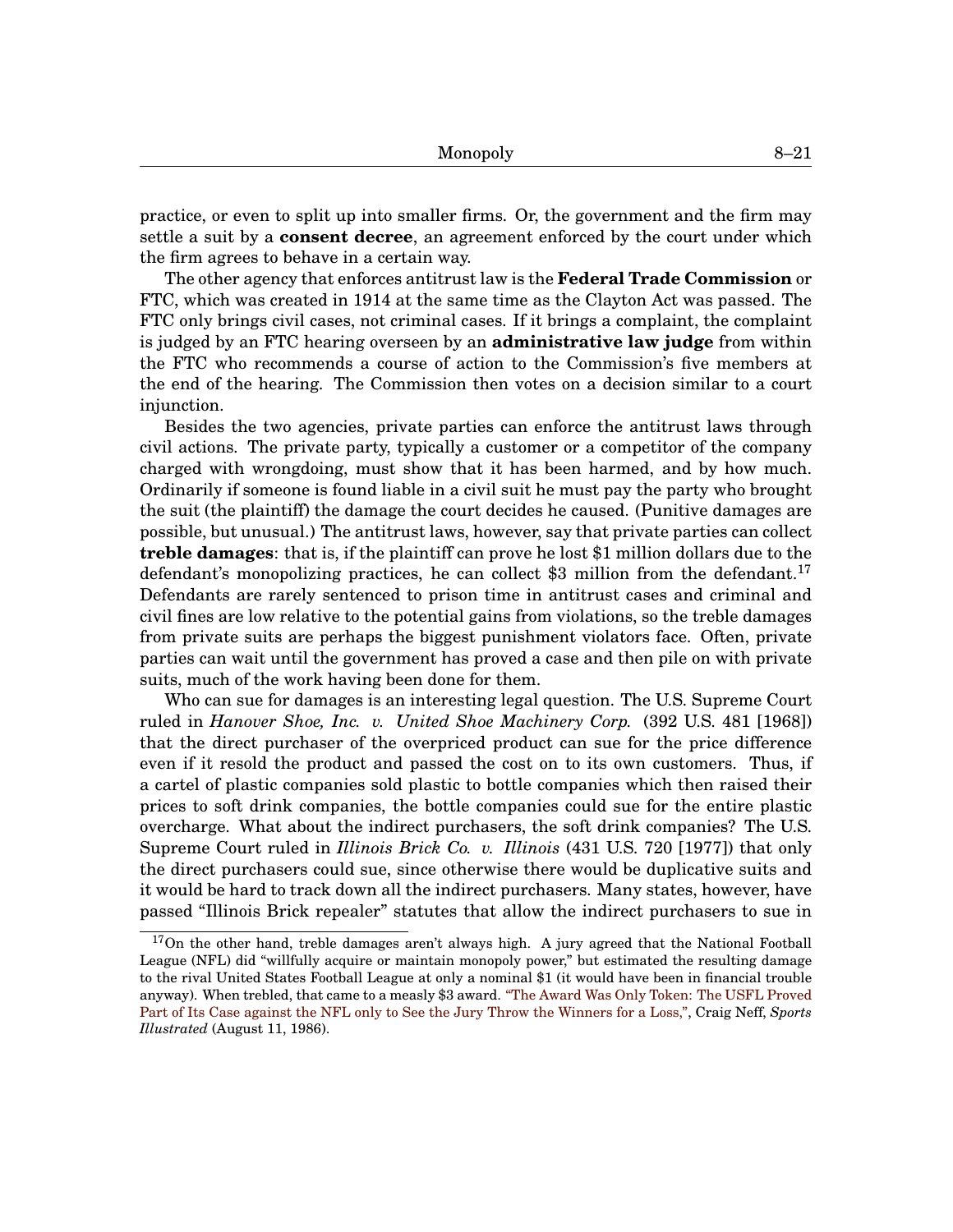practice, or even to split up into smaller firms. Or, the government and the firm may settle a suit by a **consent decree**, an agreement enforced by the court under which the firm agrees to behave in a certain way.

The other agency that enforces antitrust law is the **Federal Trade Commission** or FTC, which was created in 1914 at the same time as the Clayton Act was passed. The FTC only brings civil cases, not criminal cases. If it brings a complaint, the complaint is judged by an FTC hearing overseen by an **administrative law judge** from within the FTC who recommends a course of action to the Commission's five members at the end of the hearing. The Commission then votes on a decision similar to a court injunction.

Besides the two agencies, private parties can enforce the antitrust laws through civil actions. The private party, typically a customer or a competitor of the company charged with wrongdoing, must show that it has been harmed, and by how much. Ordinarily if someone is found liable in a civil suit he must pay the party who brought the suit (the plaintiff) the damage the court decides he caused. (Punitive damages are possible, but unusual.) The antitrust laws, however, say that private parties can collect **treble damages**: that is, if the plaintiff can prove he lost \$1 million dollars due to the defendant's monopolizing practices, he can collect  $$3$  million from the defendant.<sup>[17](#page-0-1)</sup> Defendants are rarely sentenced to prison time in antitrust cases and criminal and civil fines are low relative to the potential gains from violations, so the treble damages from private suits are perhaps the biggest punishment violators face. Often, private parties can wait until the government has proved a case and then pile on with private suits, much of the work having been done for them.

Who can sue for damages is an interesting legal question. The U.S. Supreme Court ruled in *Hanover Shoe, Inc. v. United Shoe Machinery Corp.* (392 U.S. 481 [1968]) that the direct purchaser of the overpriced product can sue for the price difference even if it resold the product and passed the cost on to its own customers. Thus, if a cartel of plastic companies sold plastic to bottle companies which then raised their prices to soft drink companies, the bottle companies could sue for the entire plastic overcharge. What about the indirect purchasers, the soft drink companies? The U.S. Supreme Court ruled in *Illinois Brick Co. v. Illinois* (431 U.S. 720 [1977]) that only the direct purchasers could sue, since otherwise there would be duplicative suits and it would be hard to track down all the indirect purchasers. Many states, however, have passed "Illinois Brick repealer" statutes that allow the indirect purchasers to sue in

 $17$ On the other hand, treble damages aren't always high. A jury agreed that the National Football League (NFL) did "willfully acquire or maintain monopoly power," but estimated the resulting damage to the rival United States Football League at only a nominal \$1 (it would have been in financial trouble anyway). When trebled, that came to a measly \$3 award. ["The Award Was Only Token: The USFL Proved](http://sportsillustrated.cnn.com/vault/article/magazine/MAG1065099/index.htm) [Part of Its Case against the NFL only to See the Jury Throw the Winners for a Loss,",](http://sportsillustrated.cnn.com/vault/article/magazine/MAG1065099/index.htm) Craig Neff, *Sports Illustrated* (August 11, 1986).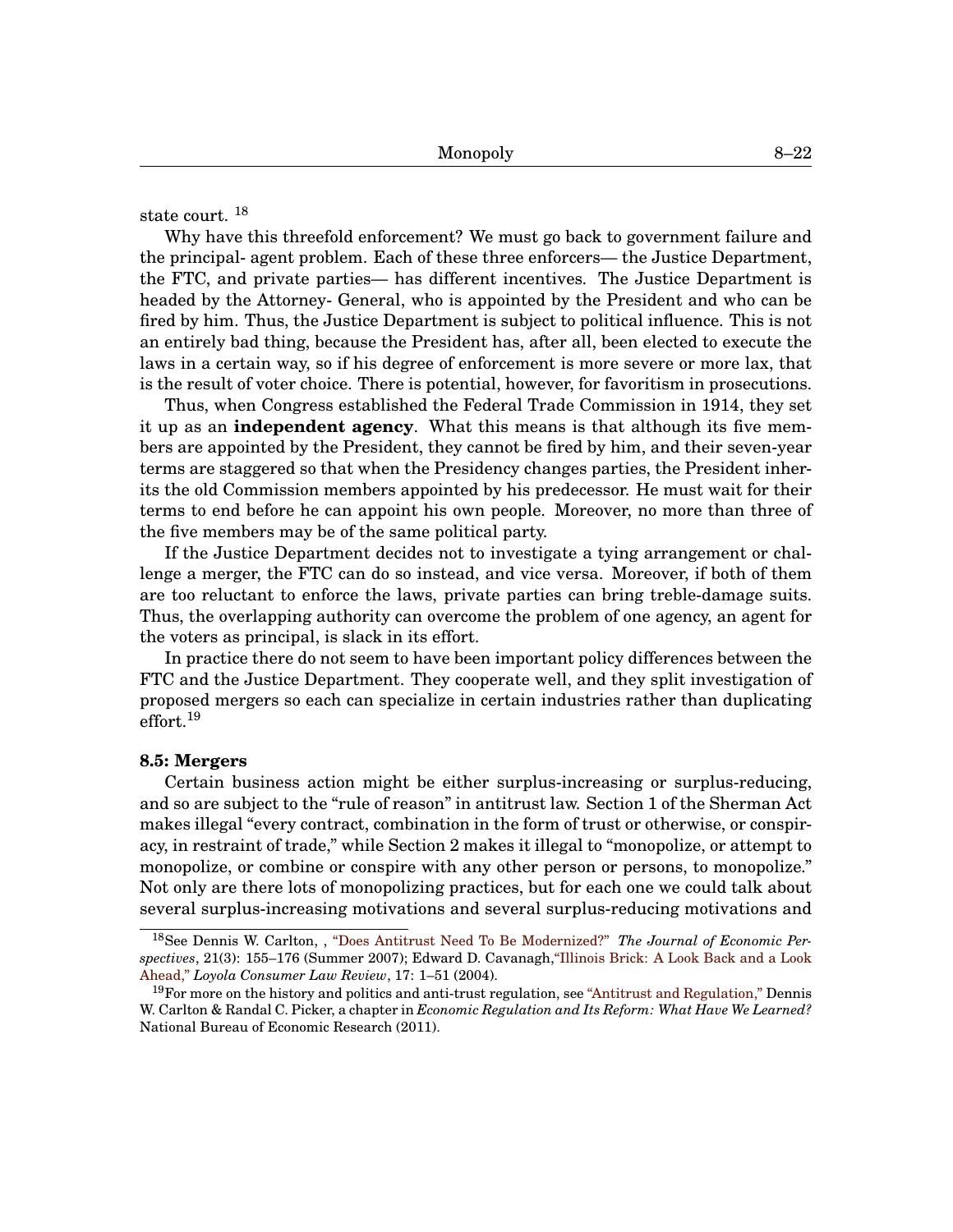state court. [18](#page-0-1)

Why have this threefold enforcement? We must go back to government failure and the principal- agent problem. Each of these three enforcers— the Justice Department, the FTC, and private parties— has different incentives. The Justice Department is headed by the Attorney- General, who is appointed by the President and who can be fired by him. Thus, the Justice Department is subject to political influence. This is not an entirely bad thing, because the President has, after all, been elected to execute the laws in a certain way, so if his degree of enforcement is more severe or more lax, that is the result of voter choice. There is potential, however, for favoritism in prosecutions.

Thus, when Congress established the Federal Trade Commission in 1914, they set it up as an **independent agency**. What this means is that although its five members are appointed by the President, they cannot be fired by him, and their seven-year terms are staggered so that when the Presidency changes parties, the President inherits the old Commission members appointed by his predecessor. He must wait for their terms to end before he can appoint his own people. Moreover, no more than three of the five members may be of the same political party.

If the Justice Department decides not to investigate a tying arrangement or challenge a merger, the FTC can do so instead, and vice versa. Moreover, if both of them are too reluctant to enforce the laws, private parties can bring treble-damage suits. Thus, the overlapping authority can overcome the problem of one agency, an agent for the voters as principal, is slack in its effort.

In practice there do not seem to have been important policy differences between the FTC and the Justice Department. They cooperate well, and they split investigation of proposed mergers so each can specialize in certain industries rather than duplicating effort. $^{19}$  $^{19}$  $^{19}$ 

#### **[8.](#page-0-0)5: Mergers**

Certain business action might be either surplus-increasing or surplus-reducing, and so are subject to the "rule of reason" in antitrust law. Section 1 of the Sherman Act makes illegal "every contract, combination in the form of trust or otherwise, or conspiracy, in restraint of trade," while Section 2 makes it illegal to "monopolize, or attempt to monopolize, or combine or conspire with any other person or persons, to monopolize." Not only are there lots of monopolizing practices, but for each one we could talk about several surplus-increasing motivations and several surplus-reducing motivations and

<sup>18</sup>See Dennis W. Carlton, , ["Does Antitrust Need To Be Modernized?"](http://www.jstor.org/stable/30033739) *The Journal of Economic Perspectives*, 21(3): 155–176 (Summer 2007); Edward D. Cavanagh[,"Illinois Brick: A Look Back and a Look](http://heinonline.org/HOL/Page?handle=hein.journals/lyclr17&div=8&g_sent=1&collection=journals) [Ahead,"](http://heinonline.org/HOL/Page?handle=hein.journals/lyclr17&div=8&g_sent=1&collection=journals) *Loyola Consumer Law Review*, 17: 1–51 (2004).

 $19$ For more on the history and politics and anti-trust regulation, see ["Antitrust and Regulation,"](http://www.nber.org/chapters/c12565.pdf) Dennis W. Carlton & Randal C. Picker, a chapter in *Economic Regulation and Its Reform: What Have We Learned?* National Bureau of Economic Research (2011).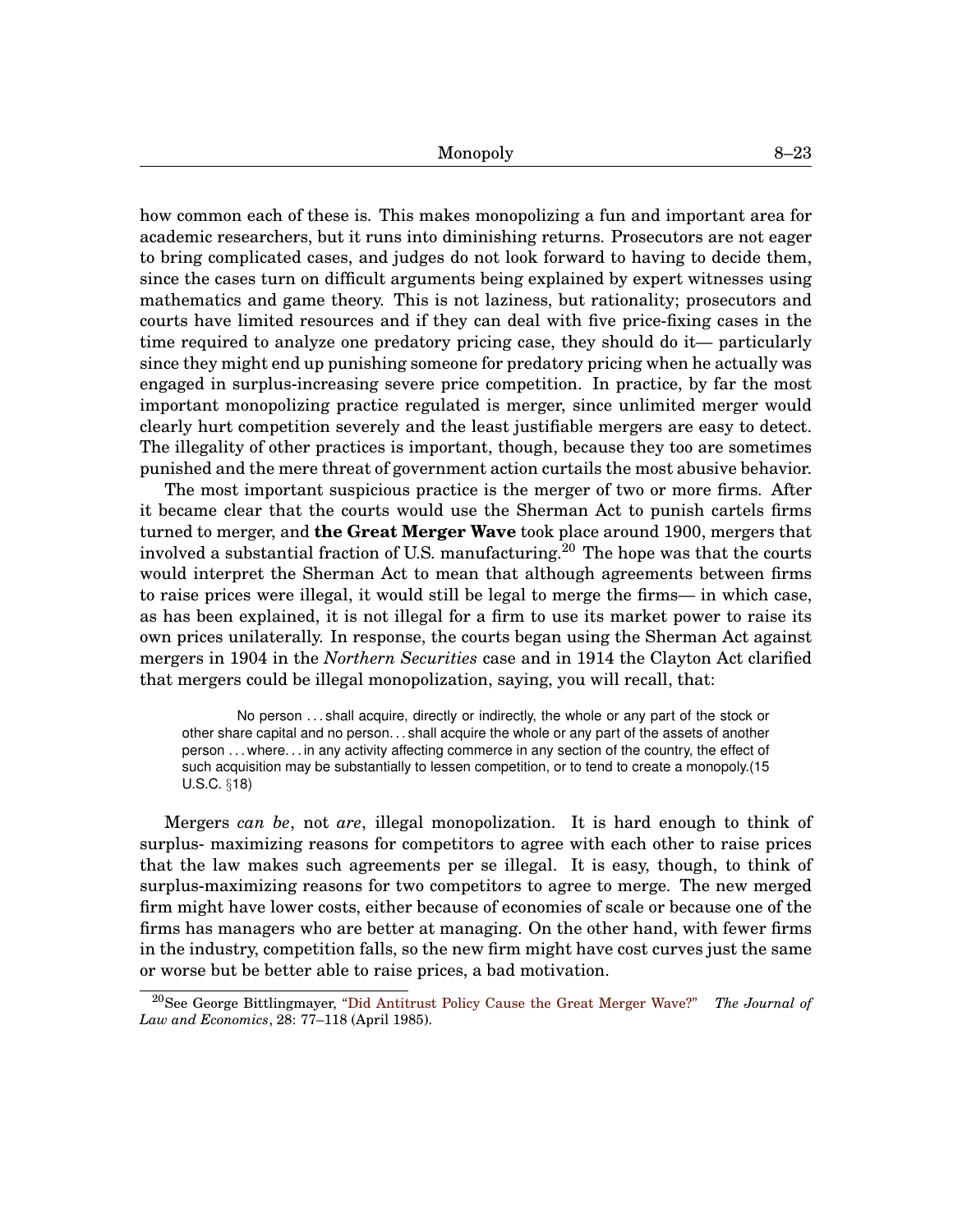how common each of these is. This makes monopolizing a fun and important area for academic researchers, but it runs into diminishing returns. Prosecutors are not eager to bring complicated cases, and judges do not look forward to having to decide them, since the cases turn on difficult arguments being explained by expert witnesses using mathematics and game theory. This is not laziness, but rationality; prosecutors and courts have limited resources and if they can deal with five price-fixing cases in the time required to analyze one predatory pricing case, they should do it— particularly since they might end up punishing someone for predatory pricing when he actually was engaged in surplus-increasing severe price competition. In practice, by far the most important monopolizing practice regulated is merger, since unlimited merger would clearly hurt competition severely and the least justifiable mergers are easy to detect. The illegality of other practices is important, though, because they too are sometimes punished and the mere threat of government action curtails the most abusive behavior.

The most important suspicious practice is the merger of two or more firms. After it became clear that the courts would use the Sherman Act to punish cartels firms turned to merger, and **the Great Merger Wave** took place around 1900, mergers that involved a substantial fraction of U.S. manufacturing.<sup>[20](#page-0-1)</sup> The hope was that the courts would interpret the Sherman Act to mean that although agreements between firms to raise prices were illegal, it would still be legal to merge the firms— in which case, as has been explained, it is not illegal for a firm to use its market power to raise its own prices unilaterally. In response, the courts began using the Sherman Act against mergers in 1904 in the *Northern Securities* case and in 1914 the Clayton Act clarified that mergers could be illegal monopolization, saying, you will recall, that:

No person . . . shall acquire, directly or indirectly, the whole or any part of the stock or other share capital and no person. . . shall acquire the whole or any part of the assets of another person . . . where. . . in any activity affecting commerce in any section of the country, the effect of such acquisition may be substantially to lessen competition, or to tend to create a monopoly.(15 U.S.C. §18)

Mergers *can be*, not *are*, illegal monopolization. It is hard enough to think of surplus- maximizing reasons for competitors to agree with each other to raise prices that the law makes such agreements per se illegal. It is easy, though, to think of surplus-maximizing reasons for two competitors to agree to merge. The new merged firm might have lower costs, either because of economies of scale or because one of the firms has managers who are better at managing. On the other hand, with fewer firms in the industry, competition falls, so the new firm might have cost curves just the same or worse but be better able to raise prices, a bad motivation.

<sup>20</sup>See George Bittlingmayer, ["Did Antitrust Policy Cause the Great Merger Wave?"](http://heinonline.org/HOL/Page?handle=hein.journals/jlecono28&div=9&g_sent=1&collection=journals) *The Journal of Law and Economics*, 28: 77–118 (April 1985).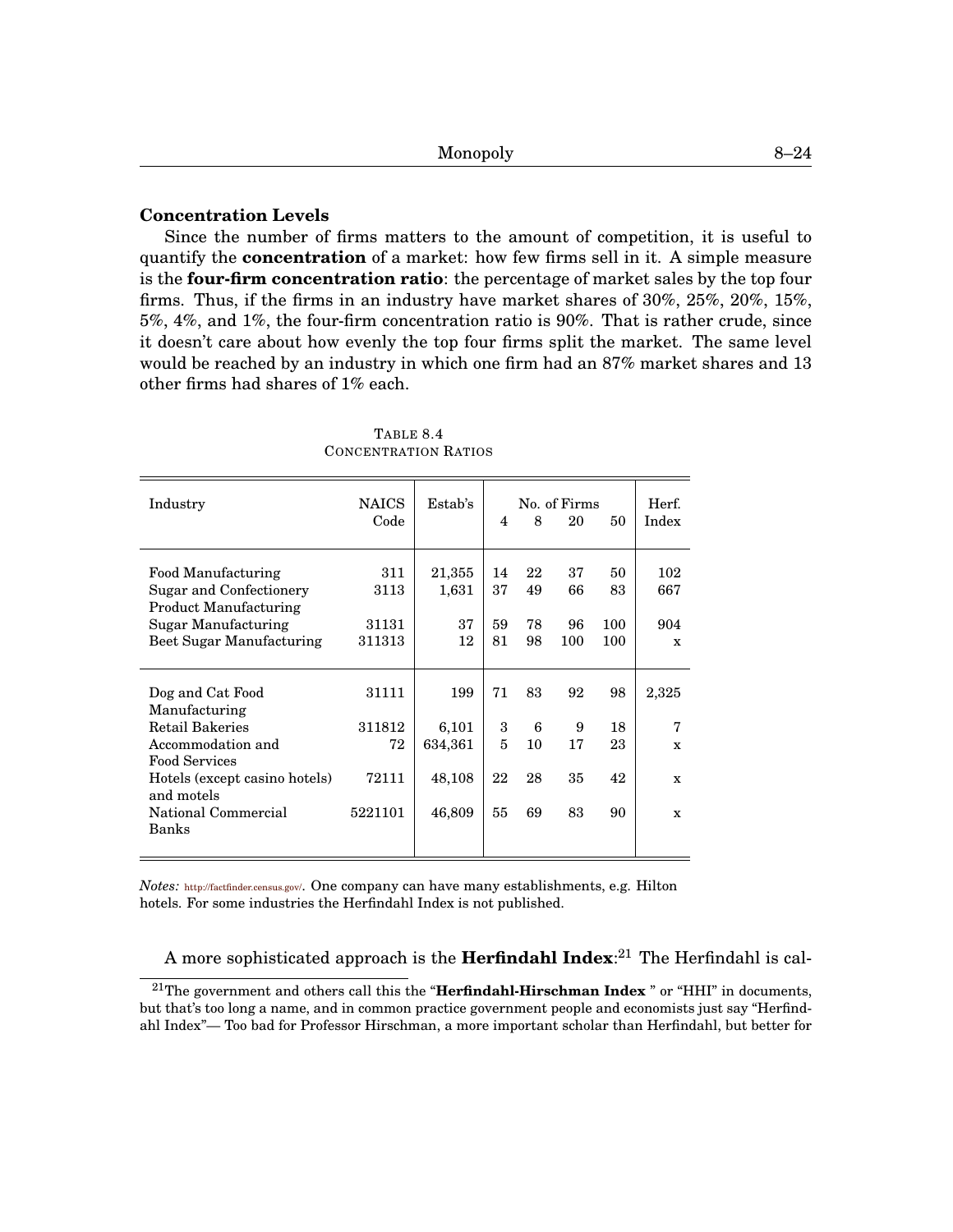# **Concentration Levels**

Since the number of firms matters to the amount of competition, it is useful to quantify the **concentration** of a market: how few firms sell in it. A simple measure is the **four-firm concentration ratio**: the percentage of market sales by the top four firms. Thus, if the firms in an industry have market shares of 30%, 25%, 20%, 15%, 5%, 4%, and 1%, the four-firm concentration ratio is 90%. That is rather crude, since it doesn't care about how evenly the top four firms split the market. The same level would be reached by an industry in which one firm had an 87% market shares and 13 other firms had shares of 1% each.

<span id="page-23-0"></span>

| Industry                                                                                                                                                                         | <b>NAICS</b><br>Code                      | Estab's                                     | 4                        | 8                         | No. of Firms<br>20        | 50                         | Herf.<br>Index                      |
|----------------------------------------------------------------------------------------------------------------------------------------------------------------------------------|-------------------------------------------|---------------------------------------------|--------------------------|---------------------------|---------------------------|----------------------------|-------------------------------------|
| Food Manufacturing<br>Sugar and Confectionery<br>Product Manufacturing<br>Sugar Manufacturing<br>Beet Sugar Manufacturing                                                        | 311<br>3113<br>31131<br>311313            | 21,355<br>1,631<br>37<br>12                 | 14<br>37<br>59<br>81     | 22<br>49<br>78<br>98      | 37<br>66<br>96<br>100     | 50<br>83<br>100<br>100     | 102<br>667<br>904<br>$\mathbf x$    |
| Dog and Cat Food<br>Manufacturing<br>Retail Bakeries<br>Accommodation and<br><b>Food Services</b><br>Hotels (except casino hotels)<br>and motels<br>National Commercial<br>Banks | 31111<br>311812<br>72<br>72111<br>5221101 | 199<br>6,101<br>634,361<br>48,108<br>46,809 | 71<br>3<br>5<br>22<br>55 | 83<br>6<br>10<br>28<br>69 | 92<br>9<br>17<br>35<br>83 | 98<br>18<br>23<br>42<br>90 | 2,325<br>7<br>$\mathbf x$<br>X<br>X |

TABLE [8.](#page-0-0)[4](#page-23-0) CONCENTRATION RATIOS

*Notes:* <http://factfinder.census.gov/>. One company can have many establishments, e.g. Hilton hotels. For some industries the Herfindahl Index is not published.

A more sophisticated approach is the **Herfindahl Index**: [21](#page-0-1) The Herfindahl is cal-

<sup>21</sup>The government and others call this the "**Herfindahl-Hirschman Index** " or "HHI" in documents, but that's too long a name, and in common practice government people and economists just say "Herfindahl Index"— Too bad for Professor Hirschman, a more important scholar than Herfindahl, but better for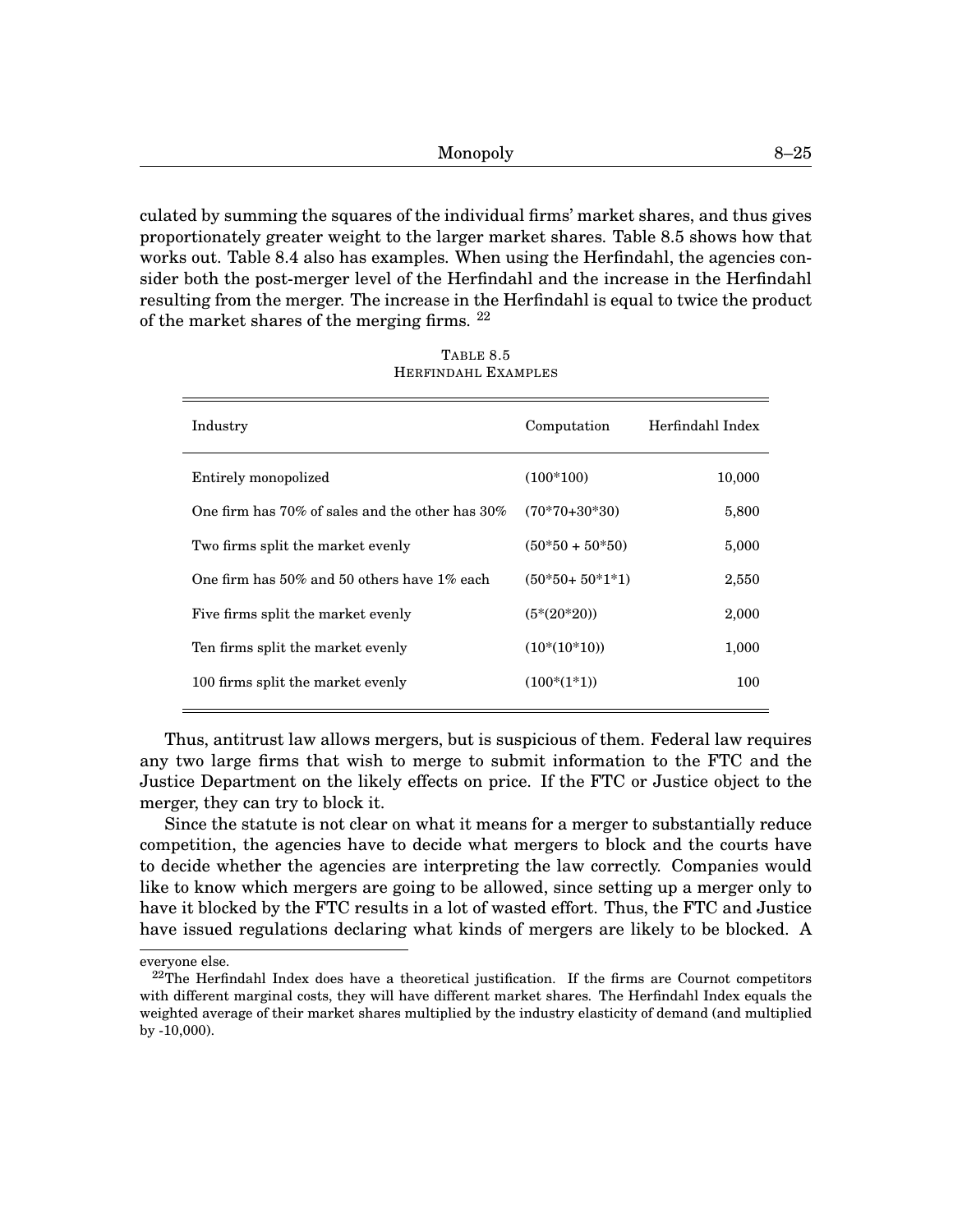culated by summing the squares of the individual firms' market shares, and thus gives proportionately greater weight to the larger market shares. Table [8.](#page-0-0)[5](#page-24-0) shows how that works out. Table [8.](#page-0-0)[4](#page-23-0) also has examples. When using the Herfindahl, the agencies consider both the post-merger level of the Herfindahl and the increase in the Herfindahl resulting from the merger. The increase in the Herfindahl is equal to twice the product of the market shares of the merging firms. [22](#page-0-1)

<span id="page-24-0"></span>

| Industry                                              | Computation      | Herfindahl Index |
|-------------------------------------------------------|------------------|------------------|
| Entirely monopolized                                  | $(100*100)$      | 10,000           |
| One firm has $70\%$ of sales and the other has $30\%$ | $(70*70+30*30)$  | 5,800            |
| Two firms split the market evenly                     | $(50*50+50*50)$  | 5,000            |
| One firm has $50\%$ and $50$ others have $1\%$ each   | $(50*50+50*1*1)$ | 2,550            |
| Five firms split the market evenly                    | $(5*(20*20))$    | 2,000            |
| Ten firms split the market evenly                     | $(10*(10*10))$   | 1,000            |
| 100 firms split the market evenly                     | $(100*(1*1))$    | 100              |
|                                                       |                  |                  |

TABLE [8.](#page-0-0)[5](#page-24-0) HERFINDAHL EXAMPLES

Thus, antitrust law allows mergers, but is suspicious of them. Federal law requires any two large firms that wish to merge to submit information to the FTC and the Justice Department on the likely effects on price. If the FTC or Justice object to the merger, they can try to block it.

Since the statute is not clear on what it means for a merger to substantially reduce competition, the agencies have to decide what mergers to block and the courts have to decide whether the agencies are interpreting the law correctly. Companies would like to know which mergers are going to be allowed, since setting up a merger only to have it blocked by the FTC results in a lot of wasted effort. Thus, the FTC and Justice have issued regulations declaring what kinds of mergers are likely to be blocked. A

everyone else.

 $22$ The Herfindahl Index does have a theoretical justification. If the firms are Cournot competitors with different marginal costs, they will have different market shares. The Herfindahl Index equals the weighted average of their market shares multiplied by the industry elasticity of demand (and multiplied by -10,000).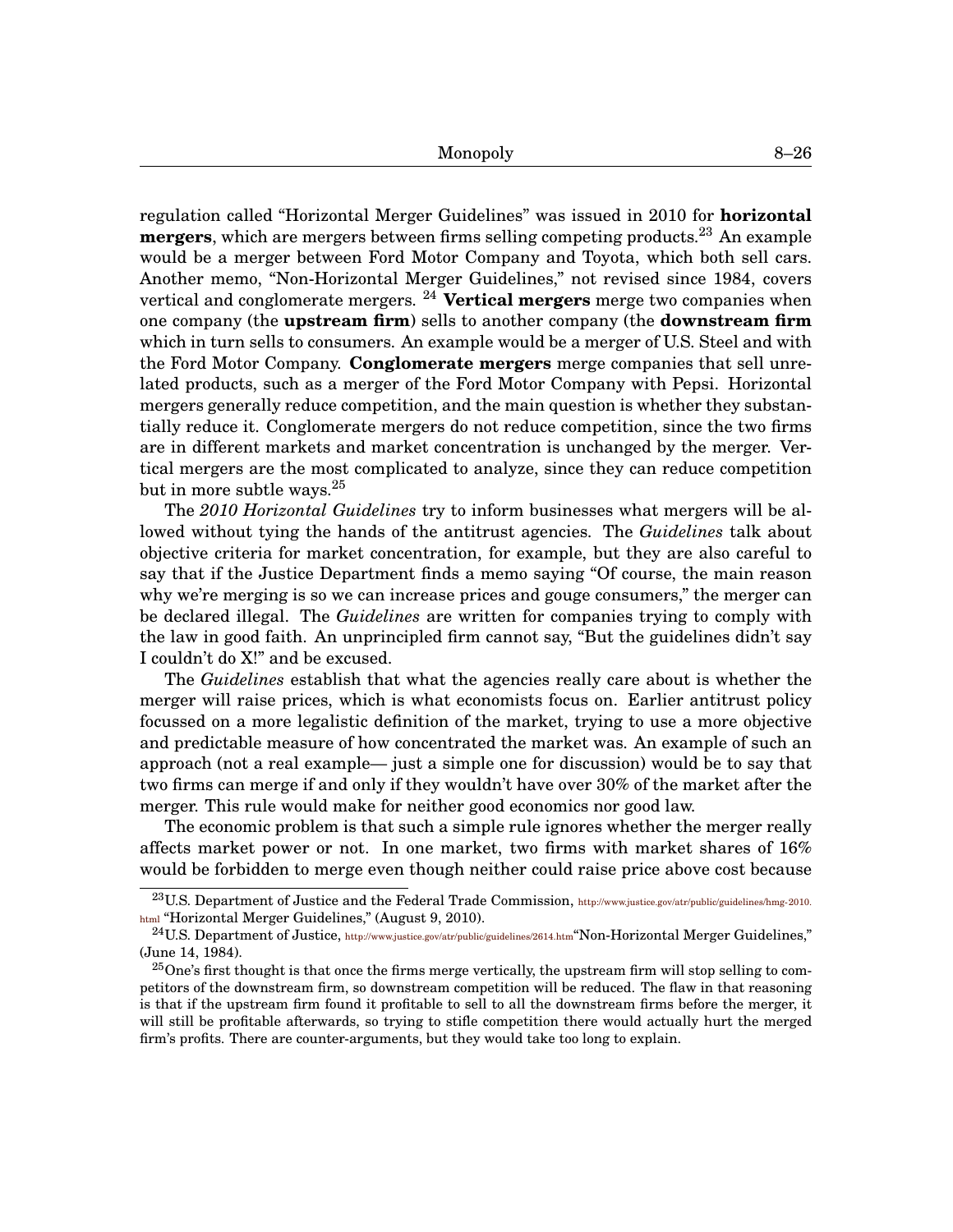regulation called "Horizontal Merger Guidelines" was issued in 2010 for **horizontal mergers**, which are mergers between firms selling competing products.[23](#page-0-1) An example would be a merger between Ford Motor Company and Toyota, which both sell cars. Another memo, "Non-Horizontal Merger Guidelines," not revised since 1984, covers vertical and conglomerate mergers. [24](#page-0-1) **Vertical mergers** merge two companies when one company (the **upstream firm**) sells to another company (the **downstream firm** which in turn sells to consumers. An example would be a merger of U.S. Steel and with the Ford Motor Company. **Conglomerate mergers** merge companies that sell unrelated products, such as a merger of the Ford Motor Company with Pepsi. Horizontal mergers generally reduce competition, and the main question is whether they substantially reduce it. Conglomerate mergers do not reduce competition, since the two firms are in different markets and market concentration is unchanged by the merger. Vertical mergers are the most complicated to analyze, since they can reduce competition but in more subtle ways.[25](#page-0-1)

The *2010 Horizontal Guidelines* try to inform businesses what mergers will be allowed without tying the hands of the antitrust agencies. The *Guidelines* talk about objective criteria for market concentration, for example, but they are also careful to say that if the Justice Department finds a memo saying "Of course, the main reason why we're merging is so we can increase prices and gouge consumers," the merger can be declared illegal. The *Guidelines* are written for companies trying to comply with the law in good faith. An unprincipled firm cannot say, "But the guidelines didn't say I couldn't do X!" and be excused.

The *Guidelines* establish that what the agencies really care about is whether the merger will raise prices, which is what economists focus on. Earlier antitrust policy focussed on a more legalistic definition of the market, trying to use a more objective and predictable measure of how concentrated the market was. An example of such an approach (not a real example— just a simple one for discussion) would be to say that two firms can merge if and only if they wouldn't have over 30% of the market after the merger. This rule would make for neither good economics nor good law.

The economic problem is that such a simple rule ignores whether the merger really affects market power or not. In one market, two firms with market shares of 16% would be forbidden to merge even though neither could raise price above cost because

<sup>&</sup>lt;sup>23</sup>U.S. Department of Justice and the Federal Trade Commission, [http://www.justice.gov/atr/public/guidelines/hmg-2010.](http://www.justice.gov/atr/public/guidelines/hmg-2010.html) [html](http://www.justice.gov/atr/public/guidelines/hmg-2010.html) "Horizontal Merger Guidelines," (August 9, 2010).

<sup>&</sup>lt;sup>24</sup>U.S. Department of Justice, <http://www.justice.gov/atr/public/guidelines/2614.htm>"Non-Horizontal Merger Guidelines," (June 14, 1984).

<sup>&</sup>lt;sup>25</sup>One's first thought is that once the firms merge vertically, the upstream firm will stop selling to competitors of the downstream firm, so downstream competition will be reduced. The flaw in that reasoning is that if the upstream firm found it profitable to sell to all the downstream firms before the merger, it will still be profitable afterwards, so trying to stifle competition there would actually hurt the merged firm's profits. There are counter-arguments, but they would take too long to explain.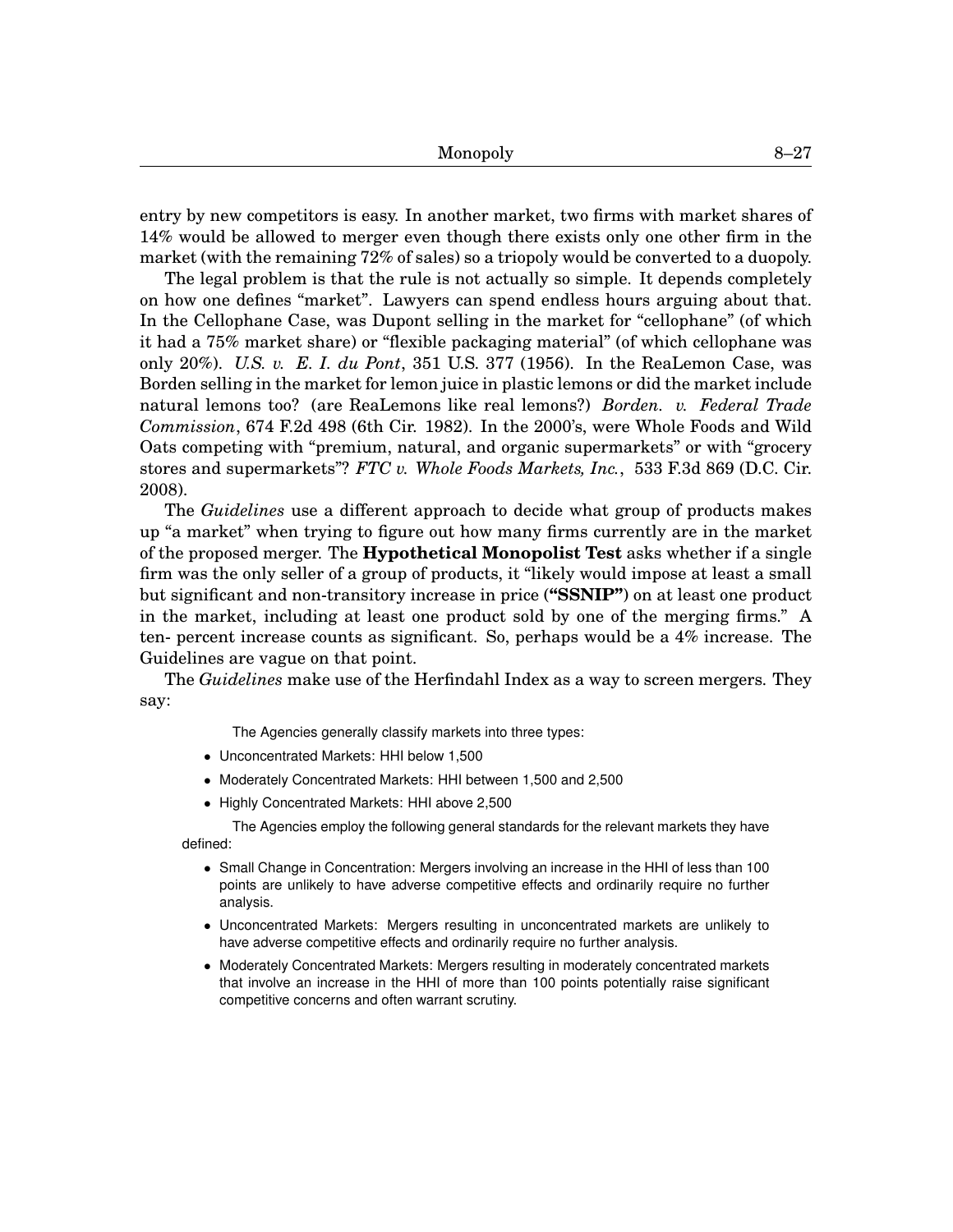entry by new competitors is easy. In another market, two firms with market shares of 14% would be allowed to merger even though there exists only one other firm in the market (with the remaining 72% of sales) so a triopoly would be converted to a duopoly.

The legal problem is that the rule is not actually so simple. It depends completely on how one defines "market". Lawyers can spend endless hours arguing about that. In the Cellophane Case, was Dupont selling in the market for "cellophane" (of which it had a 75% market share) or "flexible packaging material" (of which cellophane was only 20%). *U.S. v. E. I. du Pont*, 351 U.S. 377 (1956). In the ReaLemon Case, was Borden selling in the market for lemon juice in plastic lemons or did the market include natural lemons too? (are ReaLemons like real lemons?) *Borden. v. Federal Trade Commission*, 674 F.2d 498 (6th Cir. 1982). In the 2000's, were Whole Foods and Wild Oats competing with "premium, natural, and organic supermarkets" or with "grocery stores and supermarkets"? *FTC v. Whole Foods Markets, Inc.*, 533 F.3d 869 (D.C. Cir. 2008).

The *Guidelines* use a different approach to decide what group of products makes up "a market" when trying to figure out how many firms currently are in the market of the proposed merger. The **Hypothetical Monopolist Test** asks whether if a single firm was the only seller of a group of products, it "likely would impose at least a small but significant and non-transitory increase in price (**"SSNIP"**) on at least one product in the market, including at least one product sold by one of the merging firms." A ten- percent increase counts as significant. So, perhaps would be a 4% increase. The Guidelines are vague on that point.

The *Guidelines* make use of the Herfindahl Index as a way to screen mergers. They say:

The Agencies generally classify markets into three types:

- Unconcentrated Markets: HHI below 1,500
- Moderately Concentrated Markets: HHI between 1,500 and 2,500
- Highly Concentrated Markets: HHI above 2,500

The Agencies employ the following general standards for the relevant markets they have defined:

- Small Change in Concentration: Mergers involving an increase in the HHI of less than 100 points are unlikely to have adverse competitive effects and ordinarily require no further analysis.
- Unconcentrated Markets: Mergers resulting in unconcentrated markets are unlikely to have adverse competitive effects and ordinarily require no further analysis.
- Moderately Concentrated Markets: Mergers resulting in moderately concentrated markets that involve an increase in the HHI of more than 100 points potentially raise significant competitive concerns and often warrant scrutiny.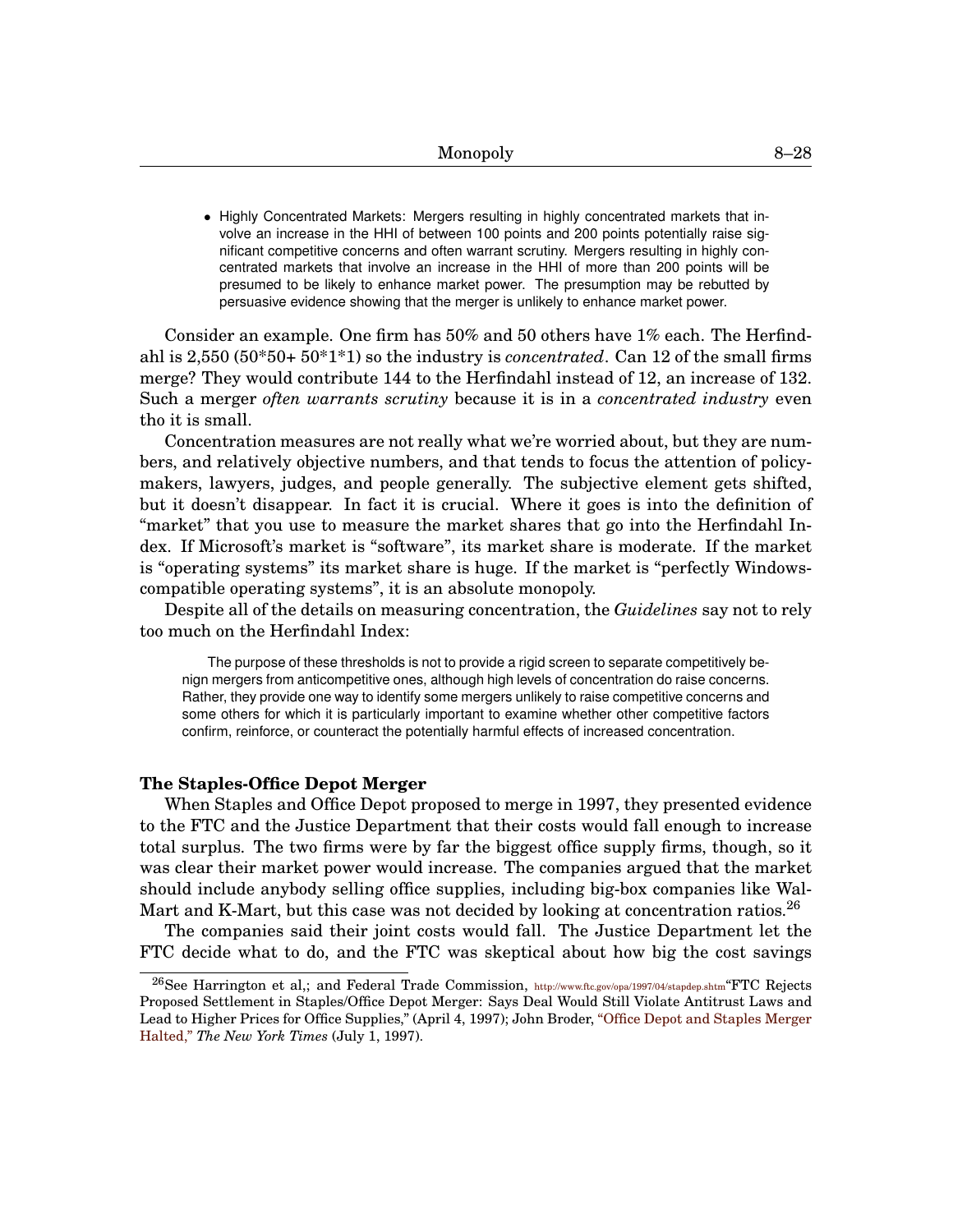• Highly Concentrated Markets: Mergers resulting in highly concentrated markets that involve an increase in the HHI of between 100 points and 200 points potentially raise significant competitive concerns and often warrant scrutiny. Mergers resulting in highly concentrated markets that involve an increase in the HHI of more than 200 points will be presumed to be likely to enhance market power. The presumption may be rebutted by persuasive evidence showing that the merger is unlikely to enhance market power.

Consider an example. One firm has 50% and 50 others have 1% each. The Herfindahl is 2,550 (50\*50+ 50\*1\*1) so the industry is *concentrated*. Can 12 of the small firms merge? They would contribute 144 to the Herfindahl instead of 12, an increase of 132. Such a merger *often warrants scrutiny* because it is in a *concentrated industry* even tho it is small.

Concentration measures are not really what we're worried about, but they are numbers, and relatively objective numbers, and that tends to focus the attention of policymakers, lawyers, judges, and people generally. The subjective element gets shifted, but it doesn't disappear. In fact it is crucial. Where it goes is into the definition of "market" that you use to measure the market shares that go into the Herfindahl Index. If Microsoft's market is "software", its market share is moderate. If the market is "operating systems" its market share is huge. If the market is "perfectly Windowscompatible operating systems", it is an absolute monopoly.

Despite all of the details on measuring concentration, the *Guidelines* say not to rely too much on the Herfindahl Index:

The purpose of these thresholds is not to provide a rigid screen to separate competitively benign mergers from anticompetitive ones, although high levels of concentration do raise concerns. Rather, they provide one way to identify some mergers unlikely to raise competitive concerns and some others for which it is particularly important to examine whether other competitive factors confirm, reinforce, or counteract the potentially harmful effects of increased concentration.

#### **The Staples-Office Depot Merger**

When Staples and Office Depot proposed to merge in 1997, they presented evidence to the FTC and the Justice Department that their costs would fall enough to increase total surplus. The two firms were by far the biggest office supply firms, though, so it was clear their market power would increase. The companies argued that the market should include anybody selling office supplies, including big-box companies like Wal-Mart and K-Mart, but this case was not decided by looking at concentration ratios.<sup>[26](#page-0-1)</sup>

The companies said their joint costs would fall. The Justice Department let the FTC decide what to do, and the FTC was skeptical about how big the cost savings

<sup>26</sup>See Harrington et al,; and Federal Trade Commission, <http://www.ftc.gov/opa/1997/04/stapdep.shtm>"FTC Rejects Proposed Settlement in Staples/Office Depot Merger: Says Deal Would Still Violate Antitrust Laws and Lead to Higher Prices for Office Supplies," (April 4, 1997); John Broder, ["Office Depot and Staples Merger](http://www.nytimes.com/1997/07/01/business/office-depot-and-staples-merger-halted.html) [Halted,"](http://www.nytimes.com/1997/07/01/business/office-depot-and-staples-merger-halted.html) *The New York Times* (July 1, 1997).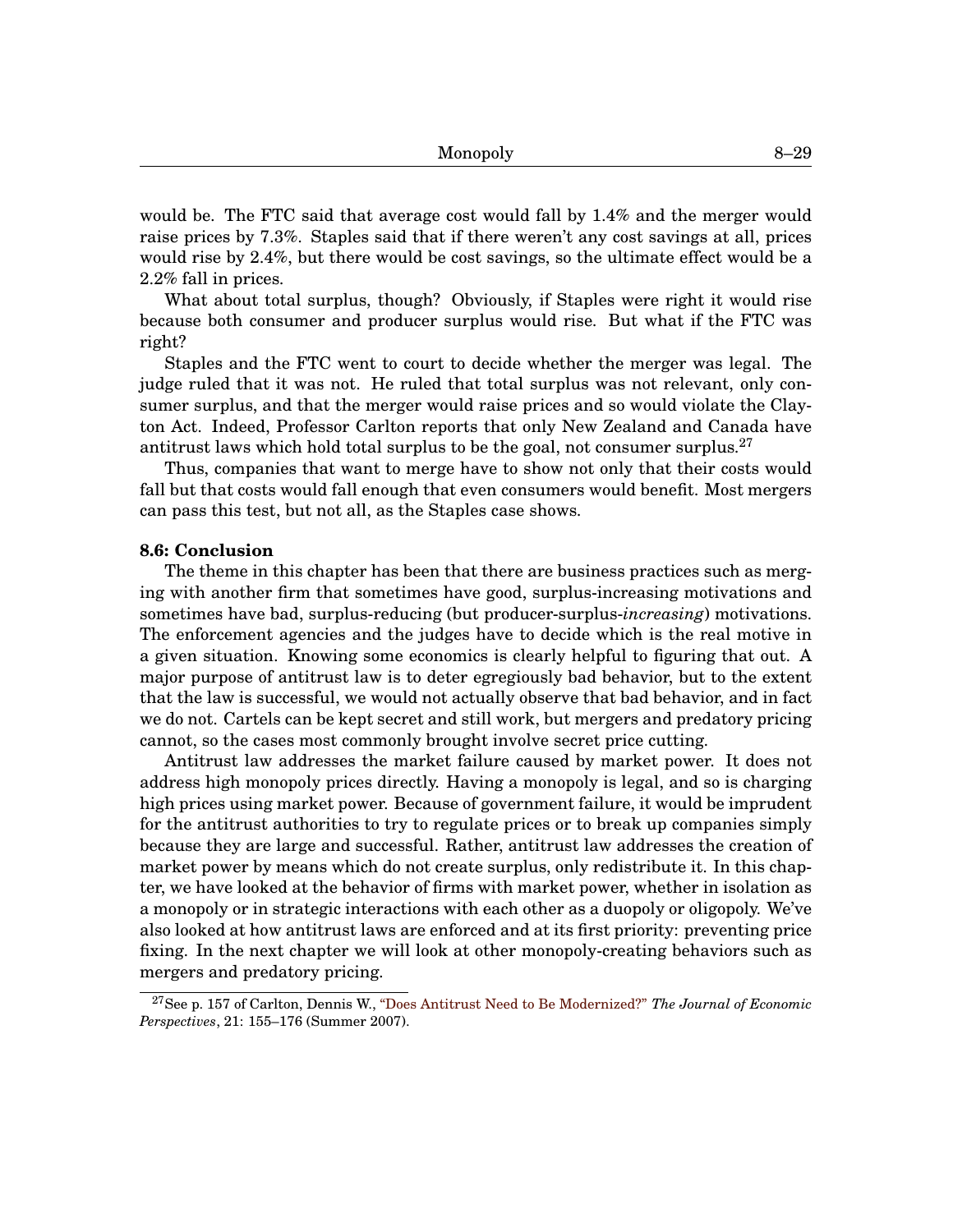would be. The FTC said that average cost would fall by 1.4% and the merger would raise prices by 7.3%. Staples said that if there weren't any cost savings at all, prices would rise by 2.4%, but there would be cost savings, so the ultimate effect would be a 2.2% fall in prices.

What about total surplus, though? Obviously, if Staples were right it would rise because both consumer and producer surplus would rise. But what if the FTC was right?

Staples and the FTC went to court to decide whether the merger was legal. The judge ruled that it was not. He ruled that total surplus was not relevant, only consumer surplus, and that the merger would raise prices and so would violate the Clayton Act. Indeed, Professor Carlton reports that only New Zealand and Canada have antitrust laws which hold total surplus to be the goal, not consumer surplus.<sup>[27](#page-0-1)</sup>

Thus, companies that want to merge have to show not only that their costs would fall but that costs would fall enough that even consumers would benefit. Most mergers can pass this test, but not all, as the Staples case shows.

## **[8.](#page-0-0)6: Conclusion**

The theme in this chapter has been that there are business practices such as merging with another firm that sometimes have good, surplus-increasing motivations and sometimes have bad, surplus-reducing (but producer-surplus-*increasing*) motivations. The enforcement agencies and the judges have to decide which is the real motive in a given situation. Knowing some economics is clearly helpful to figuring that out. A major purpose of antitrust law is to deter egregiously bad behavior, but to the extent that the law is successful, we would not actually observe that bad behavior, and in fact we do not. Cartels can be kept secret and still work, but mergers and predatory pricing cannot, so the cases most commonly brought involve secret price cutting.

Antitrust law addresses the market failure caused by market power. It does not address high monopoly prices directly. Having a monopoly is legal, and so is charging high prices using market power. Because of government failure, it would be imprudent for the antitrust authorities to try to regulate prices or to break up companies simply because they are large and successful. Rather, antitrust law addresses the creation of market power by means which do not create surplus, only redistribute it. In this chapter, we have looked at the behavior of firms with market power, whether in isolation as a monopoly or in strategic interactions with each other as a duopoly or oligopoly. We've also looked at how antitrust laws are enforced and at its first priority: preventing price fixing. In the next chapter we will look at other monopoly-creating behaviors such as mergers and predatory pricing.

<sup>27</sup>See p. 157 of Carlton, Dennis W., ["Does Antitrust Need to Be Modernized?"](http://www.jstor.org/stable/30033739) *The Journal of Economic Perspectives*, 21: 155–176 (Summer 2007).